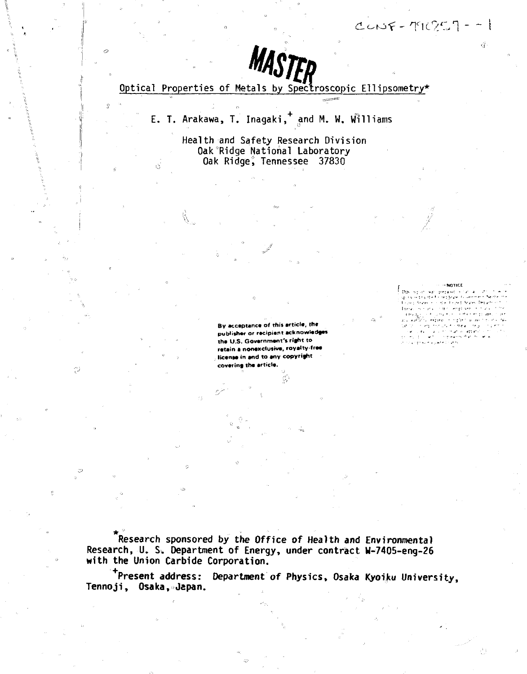$CCD5F - T1C2G7 - -1$ 



# **MASTER**<br>Optical Properties of Metals by Spectroscopic Ellipsometry\*

### E. T. Arakawa, T. Inagaki,<sup>+</sup> and M. W. Williams

Health and Safety Research Division Oak Ridge National Laboratory Oak Ridge, Tennessee 37830

> **By acceptance of this article, the** publisher or recipient acknowledges **the U.S. Government's ri§ht to** retain a nonexclusive, royalty-free license in and to any copyright covering the article.

> > C,

Φ

**NOTICE** 

mena cat. in

ê j

**Research sponsored by the Office of Health and Environmental Research, U. S-» Department of Energy, under contract W-7405-eng-26 with the Union Carbide Corporation.**

**Present address: Department of Physics, Osaka Kyoiku University, Tennoji, Osaka, Japan.**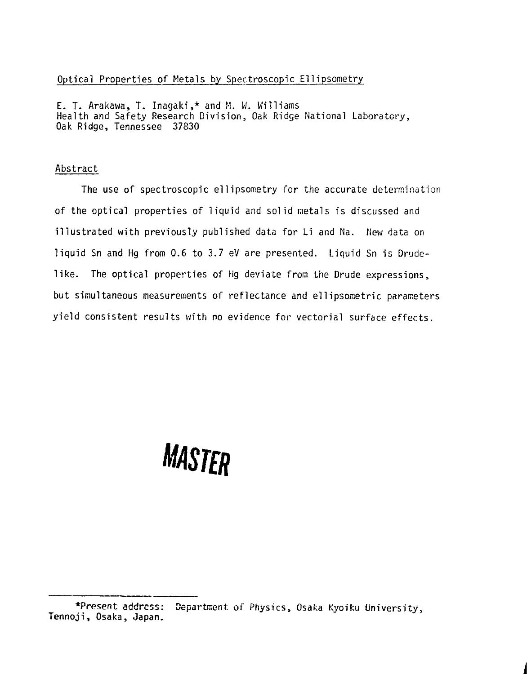#### Optical Properties of Metals by Spectroscopic Ellipsometry

E. T. Arakawa, T. Inagaki,\* and M. W. Williams Health and Safety Research Division, Oak Ridge National Laboratory, Oak Ridge, Tennessee 37830

#### Abstract

The use of spectroscopic ellipsometry for the accurate determination of the optical properties of liquid and solid metals is discussed and illustrated with previously published data for Li and Na. New data on liquid Sn and Hg from 0.6 to 3.7 eV are presented. Liquid Sn is Drudelike. The optical properties of Hg deviate from the Drude expressions, but simultaneous measurements of reflectance and ellipsonietric parameters yield consistent results with no evidence for vectorial surface effects.

## **MASTER**

<sup>\*</sup>Present address: Department of Physics, Osaka Kyoiku University, Tennoji, Osaka, Japan.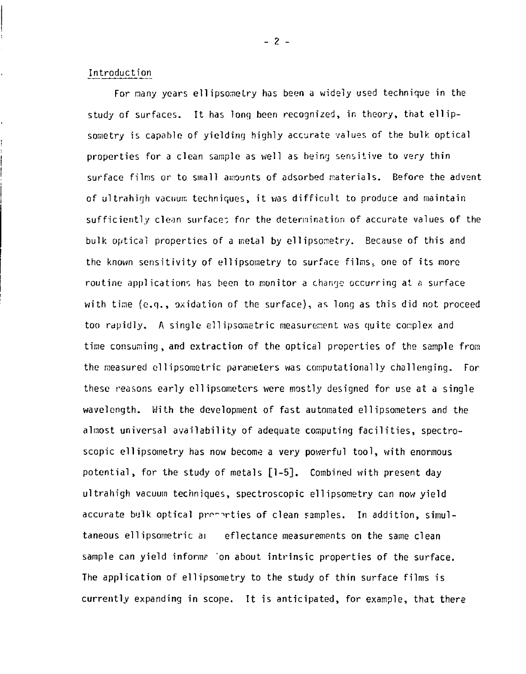#### Introduction

For many years ell ipsometry has been a widely used technique in the study of surfaces. It has long been recognized, in theory, that ellipsonietry is capable of yielding highly accurate values of the bulk optical properties for a clean sample as well as being sensitive to very thin surface films or to small amounts of adsorbed materials. Before the advent of ultrahigh vacuum techniques, it was difficult to produce and maintain sufficiently clean surfacet for the determination of accurate values of the bulk optical properties of a metal by ellipsometry. Because of this and the known sensitivity of ellipsometry to surface films, one of its more routine applications has been to monitor a change occurring at a surface with time (e.g., oxidation of the surface), as long as this did not proceed too rapidly. A single ellipsometric measurement was quite complex and time consuming, and extraction of the optical properties of the sample from the measured el 1ipsometric parameters was computationally challenging. For these reasons early ellipsometers were mostly designed for use at a single wavelength. With the development of fast automated ellipsometers and the almost universal availability of adequate computing facilities, spectroscopic ellipsometry has now become a very powerful tool, with enormous potential, for the study of metals [1-5]. Combined with present day ultrahigh vacuum techniques, spectroscopic ellipsometry can now yield accurate bulk optical presenties of clean samples. In addition, simultaneous ellipsometric ai eflectance measurements on the same clean sample can yield informa 'on about intrinsic properties of the surface. The application of ellipsometry to the study of thin surface films is currently expanding in scope. It is anticipated, for example, that there

 $- 2 -$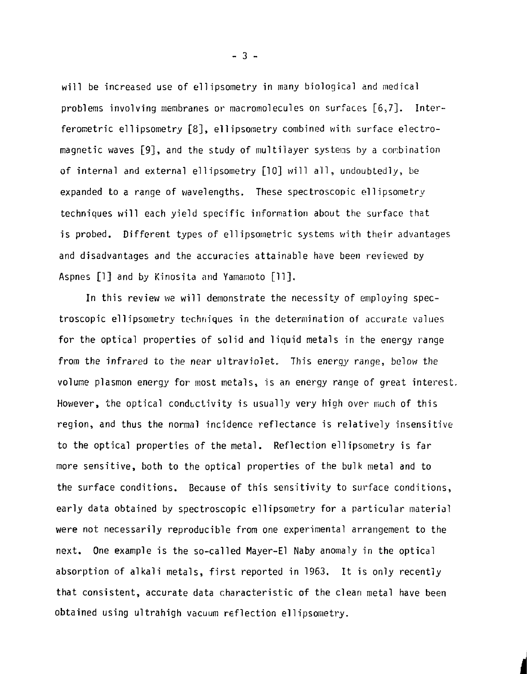will be increased use of ellipsometry in many biological and medical problems involving membranes or macromolecules on surfaces [6,7]. Interferometric ellipsometry [8], ellipsometry combined with surface electromagnetic waves [9], and the study of multilayer systems by a combination of internal and external ellipsometry [10] will all, undoubtedly, be expanded to a range of wavelengths. These spectroscopic ellipsometry techniques will each yield specific information about the surface that is probed. Different types of ellipsometric systems with their advantages and disadvantages and the accuracies attainable have been reviewed oy Aspnes [1] and by Kinosita and Yamamoto [11].

In this review we will demonstrate the necessity of employing spectroscopic el 1ipsometry techniques in the determination of accurate values for the optical properties of solid and liquid metals in the energy range from the infrared to the near ultraviolet. This energy range, below the volume plasmon energy for most metals, is an energy range of great interest. However, the optical conductivity is usually very high over much of this region, and thus the normal incidence reflectance is relatively insensitive to the optical properties of the metal. Reflection ellipsometry is far more sensitive, both to the optical properties of the bulk metal and to the surface conditions. Because of this sensitivity to surface conditions, early data obtained by spectroscopic ellipsometry for a particular material were not necessarily reproducible from one experimental arrangement to the next. One example is the so-called Mayer-El Naby anomaly in the optical absorption of alkali metals, first reported in 1963. It is only recently that consistent, accurate data characteristic of the clean metal have been obtained using ultrahigh vacuum reflection ellipsometry.

 $-3 -$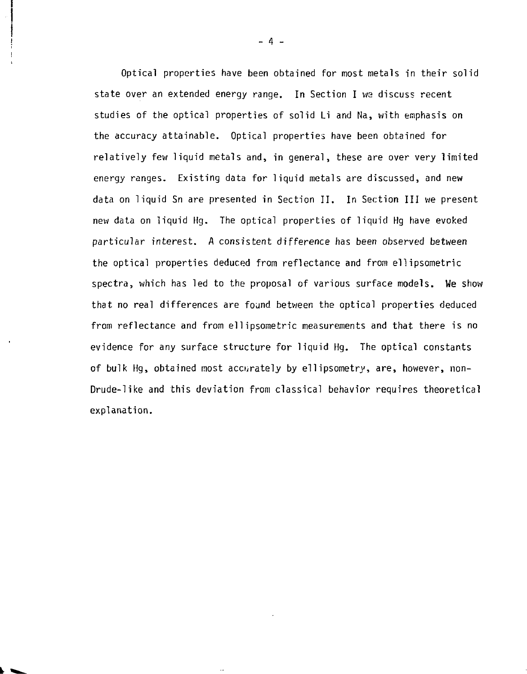Optical properties have been obtained for most metals in their solid state over an extended energy range. In Section I we discuss recent studies of the optical properties of solid Li and Na, with emphasis on the accuracy attainable. Optical properties have been obtained for relatively few liquid metals and, in general, these are over very limited energy ranges. Existing data for liquid metals are discussed, and new data on liquid Sn are presented in Section II. In Section III we present new data on liquid Hg. The optical properties of liquid Hg have evoked particular interest. A consistent difference has been observed between the optical properties deduced from reflectance and from ellipsometric spectra, which has led to the proposal of various surface models. We show that no real differences are found between the optical properties deduced from reflectance and from ellipsometric measurements and that there is no evidence for any surface structure for liquid Hg. The optical constants of bulk Hg, obtained most accurately by ellipsometry, are, however, non-Drude-like and this deviation from classical behavior requires theoretical explanation.

 $-4 -$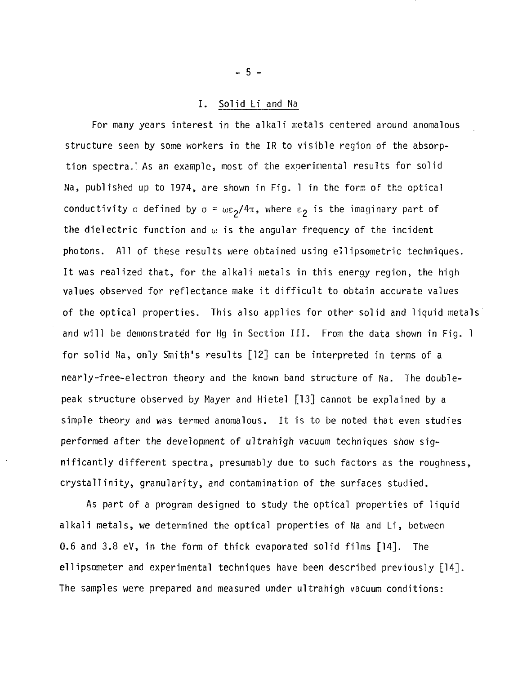#### I. Solid Li and Na

For many years interest in the alkali metals centered around anomalous structure seen by some workers in the IR to visible region of the absorption spectra.| As an example, most of the experimental results for solid Na, published up to 1974, are shown in Fig. 1 in the form of the optical conductivity o defined by  $\sigma = \omega \epsilon_2 / 4\pi$ , where  $\epsilon_2$  is the imaginary part of the dielectric function and  $\omega$  is the angular frequency of the incident photons. All of these results were obtained using ellipsometric techniques. It was realized that, for the alkali metals in this energy region, the high values observed for reflectance make it difficult to obtain accurate values of the optical properties. This also applies for other solid and liquid metals and will be demonstrated for Hg in Section III. From the data shown in Fig. 1 for solid Na, only Smith's results [12] can be interpreted in terms of a nearly-free-electron theory and the known band structure of Na. The doublepeak structure observed by Mayer and Hietel [13] cannot be explained by a simple theory and was termed anomalous. It is to be noted that even studies performed after the development of ultrahigh vacuum techniques show significantly different spectra, presumably due to such factors as the roughness, crystallinity, granularity, and contamination of the surfaces studied.

As part of a program designed to study the optical properties of liquid alkali metals, we determined the optical properties of Na and Li, between 0.6 and 3.8 eV, in the form of thick evaporated solid films [14], The eilipsometer and experimental techniques have been described previously [14]. The samples were prepared and measured under ultrahigh vacuum conditions:

 $- 5 -$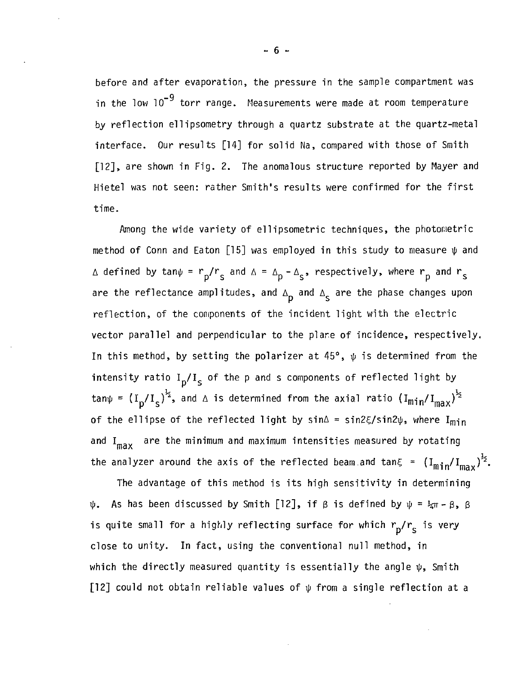before and after evaporation, the pressure in the sample compartment was in the low  $10^{-9}$  torr range. Measurements were made at room temperature by reflection ellipsometry through a quartz substrate at the quartz-metal interface. Our results [14] for solid Na, compared with those of Smith [12], are shown in Fig. 2. The anomalous structure reported by Mayer and Hietel was not seen: rather Smith's results were confirmed for the first Hietel was not seen: rather Smith's results were confirmed for the first

time. method of Conn and Eaton [15] was employed in this study to measure  $\psi$  and  $\Delta$  defined by tan $\psi = r_n/r_s$  and  $\Delta = \Delta_n - \Delta_s$ , respectively, where  $r_n$  and  $r_s$ are the reflectance amplitudes, and  $\Delta_{\mathbf{p}}$  and  $\Delta_{\mathbf{q}}$  are the phase changes upon reflection, of the components of the incident light with the electric vector parallel and perpendicular to the plane of incidence, respectively. In this method, by setting the polarizer at 45°,  $\psi$  is determined from the intensity ratio  $I_p/I_s$  of the p and s components of reflected light by  $\tan\psi = \left(\frac{I_D}{I_S}\right)^{\frac{1}{2}}$ , and  $\Delta$  is determined from the axial ratio  $\left(\frac{I_{min}}{I_{max}}\right)^{\frac{1}{2}}$ tani/j = Up/I^ \* an d A is determined from the axial ratio Umin^max ^ and I<sub>max</sub> are the minimum and maximum intensities measured by rotating the analyzer around the axis of the reflected beam and tan $\xi = (I_{min}/I_{max})^{\frac{1}{2}}$ .

The advantage of this method is its high sensitivity in determining  $\psi$ . As has been discussed by Smith [12], if  $\beta$  is defined by  $\psi = \frac{1}{4}\pi - \beta$ ,  $\beta$ is quite small for a highly reflecting surface for which  $r_p/r_s$  is very close to unity. In fact, using the conventional null method, in [12] could not obtain reliable values of  $\psi$  from a single reflection at a

 $\mathcal{I}_1$  could not obtain reliable values of  $\mathcal{I}_2$  reflection at a single reflection at a single reflection at a single reflection at a single reflection at a single reflection at a single reflection at a single refl

 $- 6 -$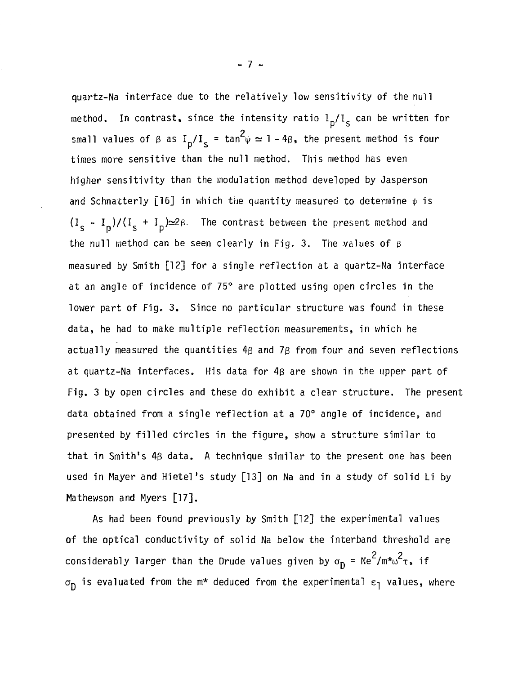quartz-Na interface due to the relatively low sensitivity of the null method. In contrast, since the intensity ratio  $I_p/I_s$  can be written for 2  $\mathbf{p}_1 \cdot \mathbf{s}$  as ID/IS  $\mathbf{p}_2$  as the present method is four method is four method is four method is four method. times more sensitive than the null method. This method has even higher sensitivity than the modulation method developed by Jasperson and Schnatterly  $\mathcal{I}_1$  in which tried to determine IJJ is which tried to determine IJJ is a set of determine IJJ  $(I_S - I_p)/(I_S + I_p) \approx 2\beta$ . The contrast between the present method and the null method can be seen clearly in Fig. 3. The values of  $\beta$ measured by Smith [12] for a single reflection at a quartz-Na interface at an angle of incidence of 75° are plotted using open circles in the lower part of Fig. 3. Since no particular structure was found in these data, he had to make multiple reflection measurements, in which he actually measured the quantities 43 and 73 from four and seven reflections at quartz-Na interfaces. His data for  $4\beta$  are shown in the upper part of Fig. 3 by open circles and these do exhibit a clear structure. The present data obtained from a single reflection at a 70° angle of incidence, and presented by filled circles in the figure, show a structure similar to that in Smith's 43 data. A technique similar to the present one has been used in Mayer and Hietel's study [13] on Na and in a study of solid Li by Mathewson and Myers [17],

As had been found previously by Smith [12] the experimental values of the optical conductivity of solid Na below the interband threshold are considerably larger than the Drude values given by  $\sigma_D = Ne^2/m^2\pi^2$ , if  $\sigma_{\rm D}$  is evaluated from the m\* deduced from the experimental  $\epsilon_{\rm I}$  values, where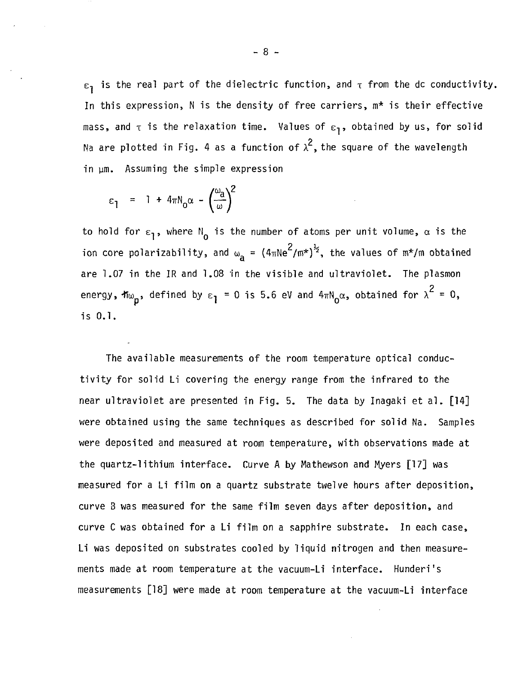$\varepsilon_1$  is the real part of the dielectric function, and  $\tau$  from the dc conductivity. In this expression, N is the density of free carriers, m\* is their effective mass, and  $\tau$  is the relaxation time. Values of  $\varepsilon_1$ , obtained by us, for solid Na are plotted in Fig. 4 as a function of  $\lambda^2$ , the square of the wavelength in um. Assuming the simple expression

$$
\varepsilon_1 = 1 + 4\pi N_0 \alpha - \left(\frac{\omega_a}{\omega}\right)^2
$$

to hold for  $\varepsilon_1$ , where N<sub>o</sub> is the number of atoms per unit volume,  $\alpha$  is the ion core polarizability, and  $\omega_{\bf a} = (4\pi Ne^2/m^*)^{\frac{1}{2}}$ , the values of  $m^*/m$  obtained are 1.07 in the IR and 1.08 in the visible and ultraviolet. The plasmon 2 energy, h $\omega_n$ , defined by  $\varepsilon_1$  = 0 is 5.6 eV and 4 $\pi$ N $_\alpha$ a, obtained for  $\lambda^{\texttt{--}}$  = 0, is 0.1.

The available measurements of the room temperature optical conductivity for solid Li covering the energy range from the infrared to the near ultraviolet are presented in Fig. 5. The data by Inagaki et al. [14] were obtained using the same techniques as described for solid Na. Samples were deposited and measured at room temperature, with observations made at the quartz-lithium interface. Curve A by Mathewson and Myers [17] was measured for a Li film on a quartz substrate twelve hours after deposition, curve 3 was measured for the same film seven days after deposition, and curve C was obtained for a Li film on a sapphire substrate. In each case, Li was deposited on substrates cooled by liquid nitrogen and then measurements made at room temperature at the vacuum-Li interface. Hunderi's measurements [18] were made at room temperature at the vacuum-Li interface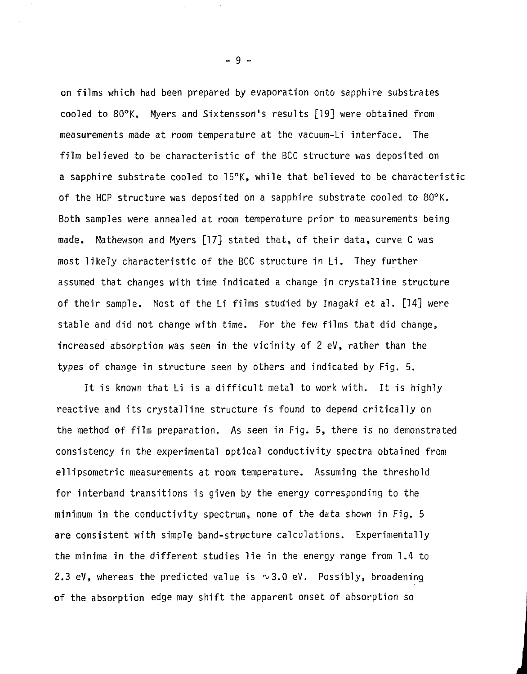on films which had been prepared by evaporation onto sapphire substrates cooled to 80°K. Myers and Sixtensson's results [19] were obtained from measurements made at room temperature at the vacuum-Li interface. The film believed to be characteristic of the BCC structure was deposited on a sapphire substrate cooled to 15°K, while that believed to be characteristic of the HCP structure was deposited on a sapphire substrate cooled to 80°K. Both samples were annealed at room temperature prior to measurements being made. Mathewson and Myers [17] stated that, of their data, curve C was most likely characteristic of the BCC structure in Li. They further assumed that changes with time indicated a change in crystalline structure of their sample. Most of the Li films studied by Inagaki et al. [14] were stable and did not change with time. For the few films that did change, increased absorption was seen in the vicinity of 2 eV, rather than the types of change in structure seen by others and indicated by Fig. 5.

It is known that Li is a difficult metal to work with. It is highly reactive and its crystalline structure is found to depend critically on the method of film preparation. As seen in Fig. 5, there is no demonstrated consistency in the experimental optical conductivity spectra obtained from ellipsometric measurements at room temperature. Assuming the threshold for interband transitions is given by the energy corresponding to the minimum in the conductivity spectrum, none of the data shown in Fig. 5 are consistent with simple band-structure calculations. Experimentally the minima in the different studies lie in the energy range from 1.4 to 2.3 eV, whereas the predicted value is  $\sim$  3.0 eV. Possibly, broadening of the absorption edge may shift the apparent onset of absorption so

- 9 -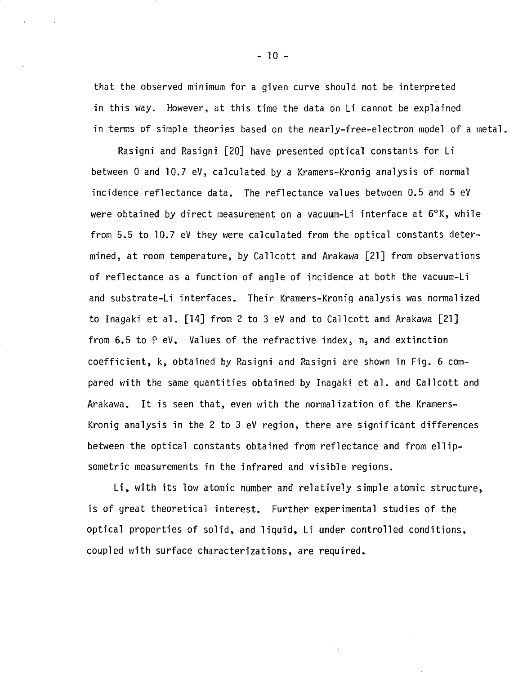that the observed minimum for a given curve should not be interpreted in this way. However, at this time the data on Li cannot be explained in terms of simple theories based on the nearly-free-electron model of a metal.

Rasigni and Rasigni [20] have presented optical constants for Li between 0 and 10.7 eV, calculated by a Kramers-Kronig analysis of normal incidence reflectance data. The reflectance values between 0.5 and 5 eV were obtained by direct measurement on a vacuum-Li interface at 6°K, while from 5.5 to 10.7 eV they were calculated from the optical constants determined, at room temperature, by Callcott and Arakawa [21] from observations of reflectance as a function of angle of incidence at both the vacuum-Li and substrate-Li interfaces. Their Kramers-Kronig analysis was normalized to Inagaki et al. [14] from 2 to 3 eV and to Callcott and Arakawa [21] from 6.5 to  $\Omega$  eV. Values of the refractive index, n, and extinction coefficient, k, obtained by Rasigni and Rasigni are shown in Fig. 6 compared with the same quantities obtained by Inagaki et al. and Callcott and Arakawa. It is seen that, even with the normalization of the Kramers-Kronig analysis in the 2 to 3 eV region, there are significant differences between the optical constants obtained from reflectance and from ellipsometric measurements in the infrared and visible regions.

Li, with its low atomic number and relatively simple atomic structure, is of great theoretical interest. Further experimental studies of the optical properties of solid, and liquid, Li under controlled conditions, coupled with surface characterizations, are required.

 $-10 -$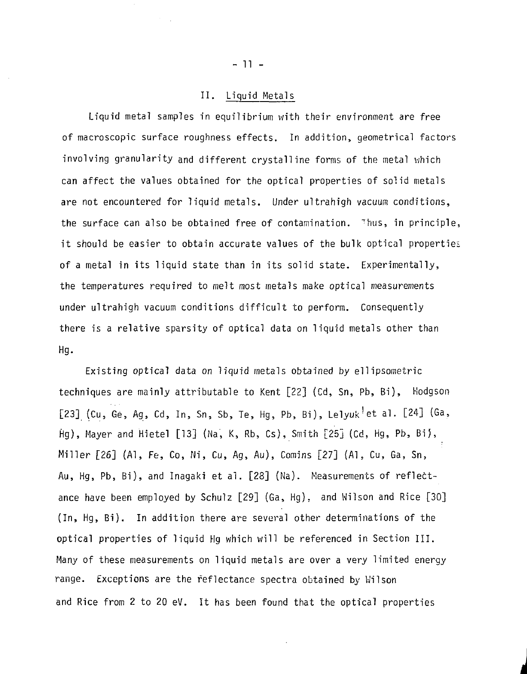#### II. Liquid Metals

Liquid metal samples in equilibrium with their environment are free of macroscopic surface roughness effects. In addition, geometrical factors involving granularity and different crystalline forms of the metal which can affect the values obtained for the optical properties of solid metals are not encountered for liquid metals. Under ultrahigh vacuum conditions, the surface can also be obtained free of contamination. Thus, in principle, it should be easier to obtain accurate values of the bulk optical properties of a metal in its liquid state than in its solid state. Experimentally, the temperatures required to melt most metals make optical measurements under ultrahigh vacuum conditions difficult to perform. Consequently there is a relative sparsity of optical data on liquid metals other than Hg.

Existing optical data on liquid metals obtained by ellipsometric techniques are mainly attributable to Kent [22] (Cd, Sn, Pb, Bi), Hodgson [23] (Cu, Ge, Ag, Cd, In, Sn, Sb, Te, Hg, Pb, Bi), Lelyuk<sup>1</sup>et al. [24] (Ga, Hg), Mayer and Hietel [13] (Na, K, Rb, Cs), Smith [25] (Cd, Hg, Pb, Bi), Miller [262 (Al, Fe, Co, Ni, Cu, Ag, Au), Comins [27] (Al. Cu, Ga, Sn, Au, Hg, Pb, Bi), and Inagaki et al. [28] (Na). Measurements of reflectance have been employed by Schulz [29] (Ga, Hg). and Wilson and Rice [30] (In, Hg, Bi). In addition there are several other determinations of the optical properties of liquid Hg which will be referenced in Section III. Many of these measurements on liquid metals are over a very limited energy range. Exceptions are the reflectance spectra obtained by Wilson and Rice from 2 to 20 eV. It has been found that the optical properties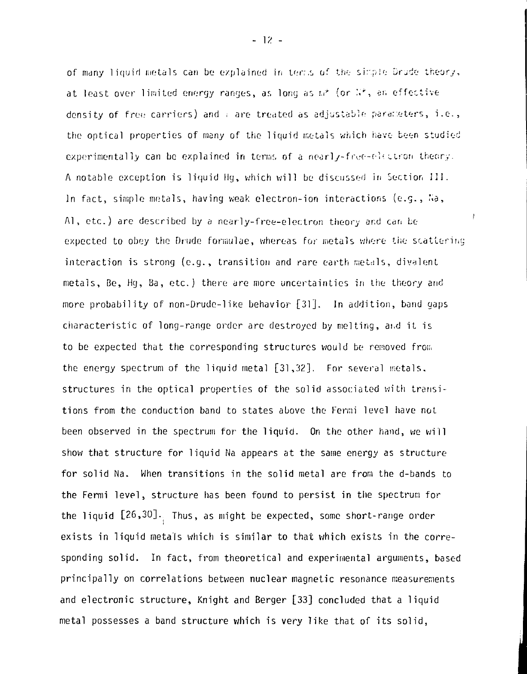of many liquid metals can be explained in terr.s of the simple Drude theory, at least over limited energy ranges, as long as  $\mathbb{R}^*$  (or  $\mathbb{R}^*$ , an effective density of free carriers) and , are treated as adjustable parameters, i.e., the optical properties of many of the liquid metals which have been studied experimentally can be explained in terms of a nearly-free-electron theory. A notable exception is liquid Ikj, which will be discussed in Section 111. In fact, simple metals, having weak electron-ion interactions  $(e.g., t.a.,)$ Al, etc.) are described by a nearly-free-electron theory and can be expected to obey the Orude formulae, whereas for metals where the scattering interaction is strong (e.g., transition and rare earth metals, divalent metals, Be, Hg, Ba, etc.) there are more uncertainties in the theory and more probability of non-Drude-like behavior [31]. In addition, band gaps characteristic of long-range order are destroyed by melting, ai,d it is to be expected that the corresponding structures would be removed froi;. the energy spectrum of the liquid metal [31,32]. For several metals, structures in the optical properties of the solid associated with transitions from the conduction band to states above the Fermi level have not been observed in the spectrum for the liquid. On the other hand, we will show that structure for liquid Na appears at the same energy as structure for solid Na. When transitions in the solid metal are from the d-bands to the Fermi level, structure has been found to persist in the spectrum for the liquid  $[26,30]$ . Thus, as might be expected, some short-range order exists in liquid metals which is similar to that which exists in the corresponding solid. In fact, from theoretical and experimental arguments, based principally on correlations between nuclear magnetic resonance measurements and electronic structure, Knight and Berger [33] concluded that a liquid metal possesses a band structure which is very like that of its solid,

ŧ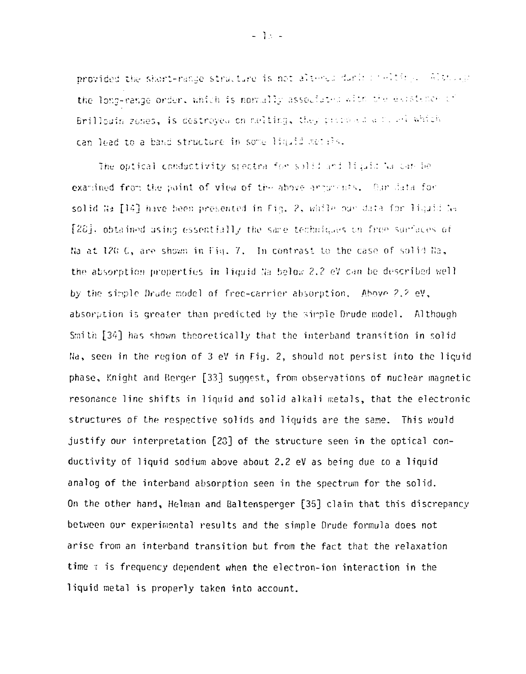provided the short-range structure is not alternal during reliting. Although the long-range order, which is normally associated with the existence of Brillouin zones, is destroyed on nelting, they proposed a new illustration can lead to a band structure in some liquid metals.

The optical conductivity spectra for solid and ligate Nature be examined from the point of view of the above arounces. Our data for solid Na [14] have been presented in Fig. 2, while our data for liquid Na  $[28]$ , obtained using essentially the same techniques on free summaces of Na at 120 C, are shown in Fig. 7. In contrast to the case of solid Na, the absorption properties in liquid Na below 2.2 eV can be described well by the simple Drude model of free-carrier absorption, Above 2.2 eV, absorption is greater than predicted by the simple Drude model. Although Smith [34] has shown theoretically that the interband transition in solid Na, seen in the region of 3 eV in Fig. 2, should not persist into the liquid phase, Knight and Berger [33] suggest, from observations of nuclear magnetic resonance line shifts in liquid and solid alkali metals, that the electronic structures of the respective solids and liquids are the same. This would justify our interpretation [23] of the structure seen in the optical conductivity of liquid sodium above about 2.2 eV as being due to a liquid analog of the interband absorption seen in the spectrum for the solid. On the other hand, Helman and Baltensperger [35] claim that this discrepancy between our experimental results and the simple Drude formula does not arise from an interband transition but from the fact that the relaxation time t is frequency dependent when the electron-ion interaction in the liquid metal is properly taken into account.

 $-15 -$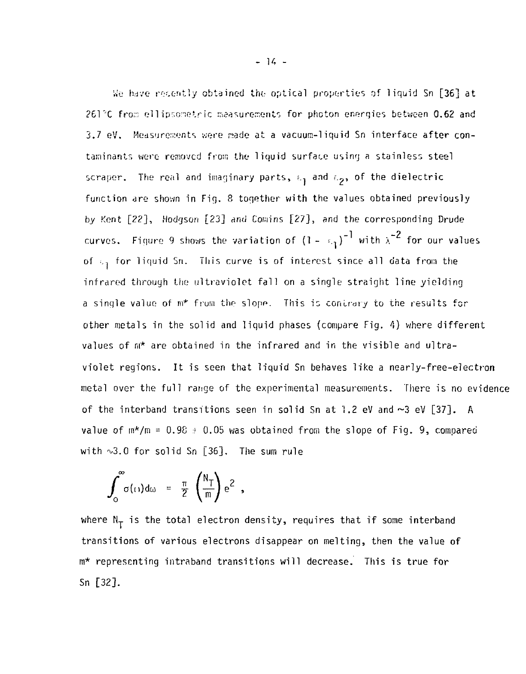We have recently obtained the optical properties of liquid Sn [36] at 261<sup>°</sup>C from ellipsometric maasurements for photon energies between 0.62 and 3.7 eV. Measurements were reade at a vacuum-liquid Sn interface after contaminants were removed from the liquid surface using a stainless steel scraper. The real and imaginary parts,  $\epsilon_1$  and  $\epsilon_2$ , of the dielectric function are shown in Fig. 8 together with the values obtained previously by Kent [2?], Hodgson [23] ami Comins [27], and the corresponding Drude curves. Figure 9 shows the variation of  $\left(1-\frac{1}{\epsilon_1}\right)^{-1}$  with  $\lambda^{-2}$  for our values of  $\varepsilon_1$  for liquid Sn. This curve is of interest since all data from the infrared through the ultraviolet fall on a single straight line yielding a single value of m\* from the slope. This is contrary to the results for other metals in the solid and liquid phases (compare Fig. 4) where different values of m\* are obtained in the infrared and in the visible and ultraviolet regions. It is seen that liquid Sn behaves like a nearly-free-electron metal over the full range of the experimental measurements. There is no evidence of the interband transitions seen in solid Sn at 1.2 eV and  $\sim$ 3 eV [37]. A value of  $m*/m = 0.98 \pm 0.05$  was obtained from the slope of Fig. 9, compared with  $\sim$ 3.0 for solid Sn [36]. The sum rule

$$
\int_0^\infty \sigma(\tau) d\omega = \frac{\pi}{2} \left( \frac{N_T}{m} \right) e^2 ,
$$

where  $N_T$  is the total electron density, requires that if some interband transitions of various electrons disappear on melting, then the value of m\* representing intraband transitions will decrease. This is true for Sn [32].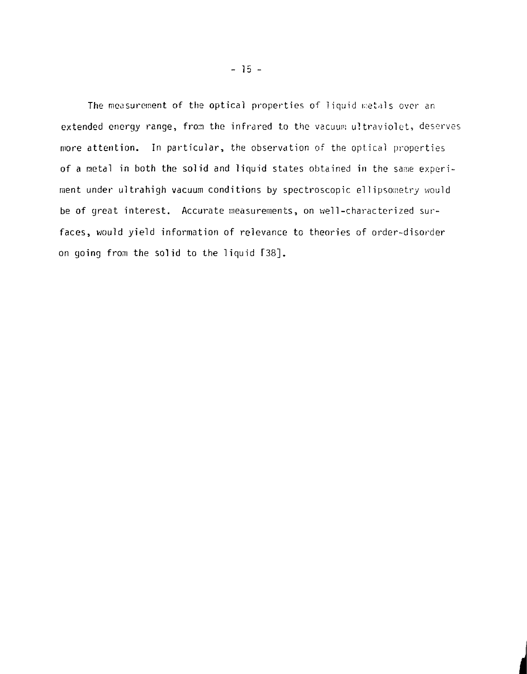The measurement of the optical properties of liquid metals over an extended energy range, from the infrared to the vacuun: ultraviolet, deserves more attention. In particular, the observation of the optical properties of a metal in both the solid and liquid states obtained in the same experiment under ultrahigh vacuum conditions by spectroscopic ellipsometry would be of great interest. Accurate measurements, on well-characterized surfaces, would yield information of relevance to theories of order-disorder on going from the solid to the liquid T38],

**i**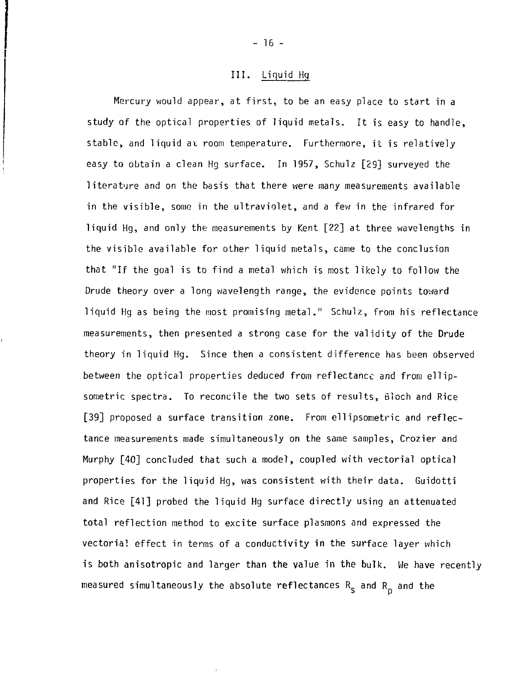#### III. Liquid Hg

Mercury would appear, at first, to be an easy place to start in a study of the optical properties of liquid metals. It is easy to handle, stable, and liquid at room temperature. Furthermore, it is relatively easy to obtain a clean Hg surface. In 1957, Schulz [29] surveyed the literature and on the basis that there were many measurements available in the visible, some in the ultraviolet, and a few in the infrared for liquid Hg, and only the measurements by Kent [22] at three wavelengths in the visible available for other liquid metals, came to the conclusion that "If the goal is to find a metal which is most likely to follow the Drude theory over a long wavelength range, the evidence points toward liquid Hg as being the most promising metal." Schulz, from his reflectance measurements, then presented a strong case for the validity of the Drude theory in liquid Hg. Since then a consistent difference has been observed between the optical properties deduced from reflectance and from ellipsometric spectra. To reconcile the two sets of results, Bloch and Rice [39] proposed a surface transition zone. From ellipsometric and reflectance measurements made simultaneously on the same samples, Crozier and Murphy [40] concluded that such a model, coupled with vectorial optical properties for the liquid Hg, was consistent with their data. Guidotti and Rice [41] probed the liquid Hg surface directly using an attenuated total reflection method to excite surface plasmons and expressed the vectorial effect in terms of a conductivity in the surface layer which is both anisotropic and larger than the value in the bulk. We have recently measured simultaneously the absolute reflectances  $R_S$  and  $R_D$  and the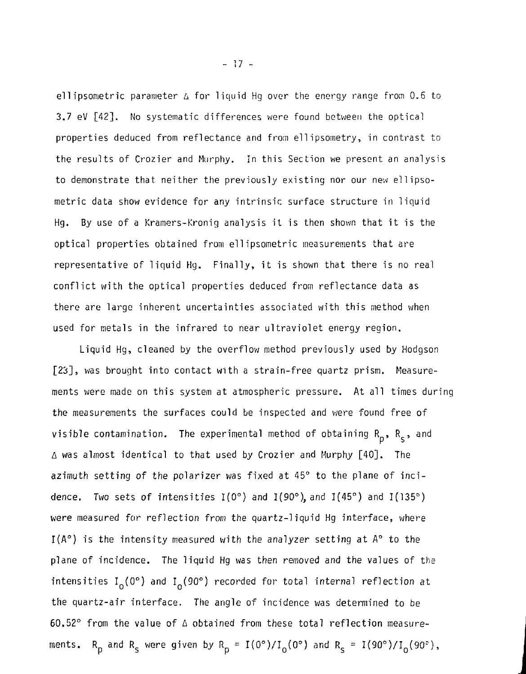ellipsometric parameter  $\Delta$  for liquid Hq over the energy range from 0.6 to 3.7 eV [42]. No systematic differences were found between the optical properties deduced from reflectance and from ellipsometry, in contrast to the results of Crozier and Murphy. In this Section we present an analysis to demonstrate that neither the previously existing nor our new el 1ipsometric data show evidence for any intrinsic surface structure in liquid Hg. By use of a Kramers-Kronig analysis it is then shown that it is the optical properties obtained from ellipsometric measurements that are representative of liquid Hg. Finally, it is shown that there is no real conflict with the optical properties deduced from reflectance data as there are large inherent uncertainties associated with this method when used for metals in the infrared to near ultraviolet energy region.

Liquid Hg, cleaned by the overflow method previously used by Hodgson [23], was brought into contact with a strain-free quartz prism. Measurements were made on this system at atmospheric pressure. At all times during the measurements the surfaces could be inspected and were found free of visible contamination. The experimental method of obtaining  $R_p$ ,  $R_s$ , and A was almost identical to that used by Crozier and Murphy [40]. The azimuth setting of the polarizer was fixed at 45° to the plane of incidence. Two sets of intensities 1(0°) and 1(90°), and 1(45°) and 1(135°) were measured for reflection from the quartz-liquid Hg interface, where  $I(A^{\circ})$  is the intensity measured with the analyzer setting at  $A^{\circ}$  to the plane of incidence. The liquid Hg was then removed and the values of the intensities  $I_0(0^{\circ})$  and  $I_0(90^{\circ})$  recorded for total internal reflection at the quartz-air interface. The angle of incidence was determined to be 60.52 $^{\circ}$  from the value of  $\Delta$  obtained from these total reflection measurements. R<sub>p</sub> and R<sub>s</sub> were given by R<sub>p</sub> = I(0°)/I<sub>0</sub>(0°) and R<sub>s</sub> = I(90°)/I<sub>0</sub>(90°),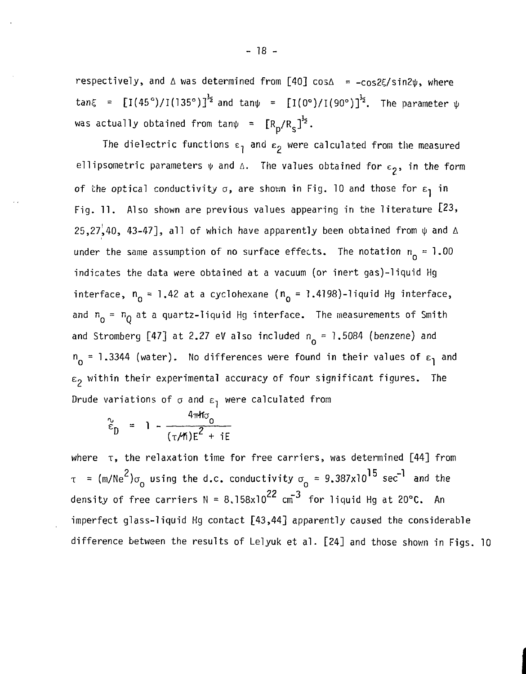respectively, and  $\triangle$  was determined from [40] cos $\triangle$  = -cos2 $\zeta$ /sin2 $\psi$ , where tan $\xi = [\Gamma(45^{\circ})/\Gamma(135^{\circ})]^{\frac{1}{2}}$  and tan $\psi = [\Gamma(0^{\circ})/\Gamma(90^{\circ})]^{\frac{1}{2}}$ . The parameter  $\psi$ was actually obtained from tan $\psi = [R_n / R_c]^2$ .

The dielectric functions  $\varepsilon_1$  and  $\varepsilon_2$  were calculated from the measured ellipsometric parameters  $\psi$  and  $\Delta$ . The values obtained for  $\epsilon_2$ , in the form of the optical conductivity  $\sigma$ , are shown in Fig. 10 and those for  $\varepsilon_1$  in Fig. 11. Also shown are previous values appearing in the literature [23, 25,27,40, 43-47], all of which have apparently been obtained from  $\psi$  and  $\Delta$ under the same assumption of no surface effects. The notation  $n_0 = 1.00$ indicates the data were obtained at a vacuum (or inert gas)-liquid Hg interface,  $n_0 = 1.42$  at a cyclohexane ( $n_0 = 1.4198$ )-liquid Hg interface, and  $n_0 = n_0$  at a quartz-liquid Hg interface. The measurements of Smith and Stromberg [47] at 2.27 eV also included  $n_0 = 1.5084$  (benzene) and  $n_0$  = 1.3344 (water). No differences were found in their values of  $\varepsilon_1$  and  $\varepsilon$ <sub>2</sub> within their experimental accuracy of four significant figures. The Drude variations of  $\sigma$  and  $\varepsilon_1$  were calculated from

$$
\epsilon_{D} = 1 - \frac{4\pi h \sigma_{0}}{(\tau / h) E^{2} + iE}
$$

where  $\tau$ , the relaxation time for free carriers, was determined [44] from  $\tau = (m/Ne^2) \sigma_0$  using the d.c. conductivity  $\sigma_0 = 9.387 \times 10^{15} \text{ sec}^{-1}$  and the density of free carriers  $N = 8.158 \times 10^{22}$  cm<sup>-3</sup> for liquid Hg at 20°C. An imperfect glass-liquid Hg contact [43,44] apparently caused the considerable difference between the results of Lelyuk et al. [24] and those shown in Figs. 10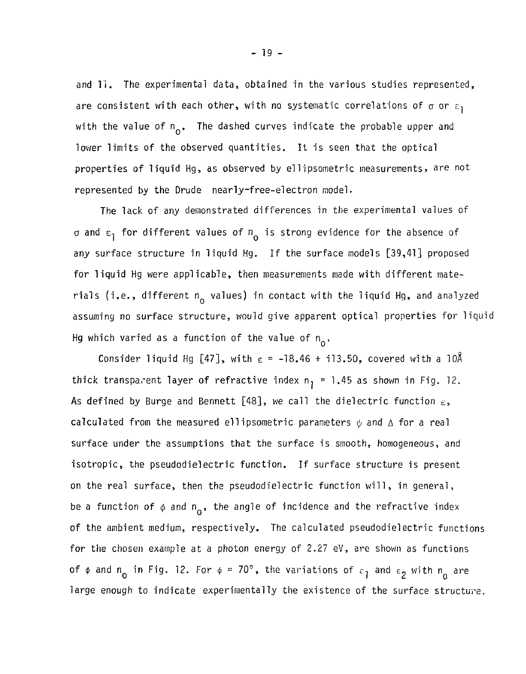and 11. The experimental data, obtained in the various studies represented, are consistent with each other, with no systematic correlations of  $\sigma$  or  $\varepsilon_1$ with the value of  $n_{0}$ . The dashed curves indicate the probable upper and lower limits of the observed quantities. It is seen that the optical properties of liquid Hg, as observed by ellipsometric measurements, are not represented by the Drude nearly-free-electron model.

The lack of any demonstrated differences in the experimental values of  $\sigma$  and  $\epsilon_1$  for different values of  $n_{\alpha}$  is strong evidence for the absence of any surface structure in liquid Hg. If the surface models [39,41] proposed for liquid Hg were applicable, then measurements made with different materials (i.e., different n values) in contact with the liquid Hg, and analyzed assuming no surface structure, would give apparent optical properties for liquid Hg which varied as a function of the value of  $n_{o}$ .

Consider liquid Hq [47], with  $\varepsilon = -18.46 + 13.50$ , covered with a 10A thick transparent layer of refractive index  $n_1 = 1.45$  as shown in Fig. 12. As defined by Burge and Bennett [48], we call the dielectric function  $\varepsilon$ , calculated from the measured ellipsometric parameters  $\psi$  and  $\Lambda$  for a real surface under the assumptions that the surface is smooth, homogeneous, and isotropic, the pseudodielectric function. If surface structure is present on the real surface, then the pseudodielectric function will, in general, be a function of  $\phi$  and  $n_{\alpha}$ , the angle of incidence and the refractive index of the ambient medium, respectively. The calculated pseudodielectric functions for the chosen example at a photon energy of 2.27 eV, are shown as functions of  $\phi$  and n<sub>o</sub> in Fig. 12. For  $\phi = 70^{\circ}$ , the variations of  $\varepsilon_1$  and  $\varepsilon_2$  with n<sub>o</sub> are large enough to indicate experimentally the existence of the surface structure.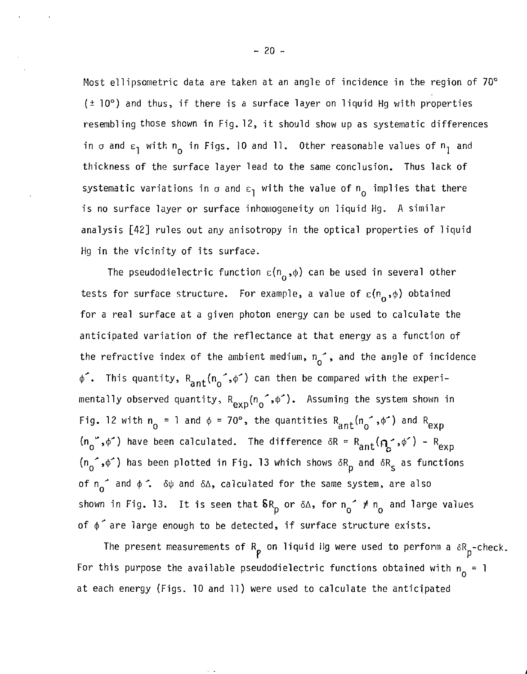Most ellipsometric data are taken at an angle of incidence in the region of 70° (± 10°) and thus, if there is a surface layer on liquid Hg with properties resembling those shown in Fig. 12, it should show up as systematic differences in  $\sigma$  and  $\varepsilon_1$  with  $n_{\alpha}$  in Figs. 10 and 11. Other reasonable values of  $n_1$  and thickness of the surface layer lead to the same conclusion. Thus lack of systematic variations in  $\sigma$  and  $\varepsilon_1$  with the value of  $n_{\alpha}$  implies that there is no surface layer or surface inhomogeneity on liquid Hg. A similar analysis [42] rules out any anisotropy in the optical properties of liquid Hg in the vicinity of its surface.

The pseudodielectric function  $\varepsilon(n_0, \phi)$  can be used in several other tests for surface structure. For example, a value of  $\varepsilon(n_0, \phi)$  obtained for a real surface at a given photon energy can be used to calculate the anticipated variation of the reflectance at that energy as a function of the refractive index of the ambient medium,  $n_{0}$ , and the angle of incidence  $\phi$ . This quantity,  $R_{ant}(n_{o}^-, \phi^+)$  can then be compared with the experia nt o  $\mathcal{L}_{\mathcal{D}}$  observed  $\mathcal{L}_{\mathcal{D}}$ . Assuming the system shown in the system shown in the system shown in the system shown in the system shown in the system shown in the system shown in the system system system system Fig. 12 with  $n_0 = 1$  and  $\phi = 70^\circ$ , the quantities  $R_{ant}(n_0^-, \phi^+)$  and  $R_{exp}$ (n<sub>o</sub> , $\phi$  ) have been calculated. The difference  $\delta R = R_{\tt anti}(\eta_{\star}$  , $\phi$  ) -  $R_{\tt exp}$  $(n_0, \phi)$  has been plotted in Fig. 13 which shows  $\delta R_p$  and  $\delta R_s$  as functions of  $n_{0}$  and  $\phi$  .  $\delta\psi$  and  $\delta\Delta$ , calculated for the same system, are also shown in Fig. 13. It is seen that  $\delta R_p$  or  $\delta \Delta$ , for  $n_0^{\frown} \neq n_0$  and large values of  $\phi$  are large enough to be detected, if surface structure exists.

The present measurements of  $R_p$  on liquid ilg were used to perform a  $\delta R_p$ -check. For this purpose the available pseudodielectric functions obtained with  $n_{0} = 1$ at each energy (Figs. 10 and 11) were used to calculate the anticipated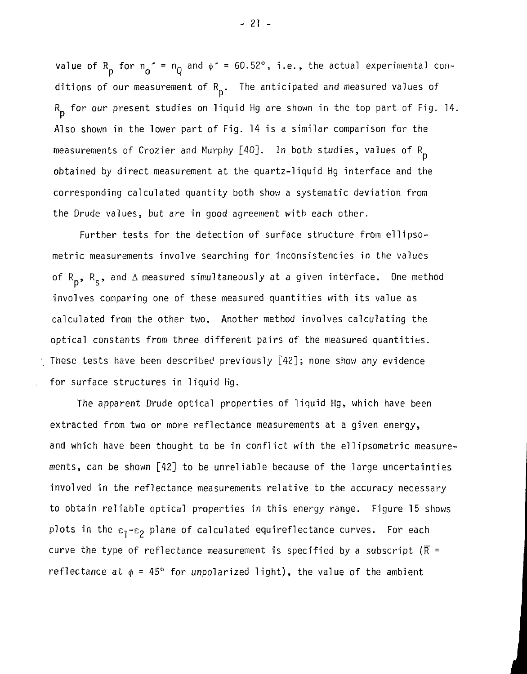value of R<sub>p</sub> for  $n_{0}$ <sup>-</sup> =  $n_{0}$  and  $\phi$ <sup>-</sup> = 60.52°, i.e., the actual experimental conditions of our measurement of  $R_n$ . The anticipated and measured values of  $R_p$  for our present studies on liquid Hg are shown in the top part of Fig. 14. Also shown in the lower part of Fig. 14 is a similar comparison for the measurements of Crozier and Murphy  $[40]$ . In both studies, values of R<sub>n</sub> obtained by direct measurement at the quartz-liquid Hg interface and the corresponding calculated quantity both show a systematic deviation from the Drude values, but are in good agreement with each other.

Further tests for the detection of surface structure from ellipsometric measurements involve searching for inconsistencies in the values of R<sub>n</sub>, R<sub>c</sub>, and  $\triangle$  measured simultaneously at a given interface. One method involves comparing one of these measured quantities with its value as calculated from the other two. Another method involves calculating the optical constants from three different pairs of the measured quantities. These tests have been described previously  $[42]$ ; none show any evidence for surface structures in liquid Hq.

The apparent Drude optical properties of liquid Hg, which have been extracted from two or more reflectance measurements at a given energy, and which have been thought to be in conflict with the ellipsometric measurements, can be shown [42] to be unreliable because of the large uncertainties involved in the reflectance measurements relative to the accuracy necessary to obtain reliable optical properties in this energy range. Figure 15 shows plots in the  $\varepsilon_1-\varepsilon_2$  plane of calculated equireflectance curves. For each curve the type of reflectance measurement is specified by a subscript ( $\overline{R}$  = reflectance at  $\phi = 45^{\circ}$  for unpolarized light), the value of the ambient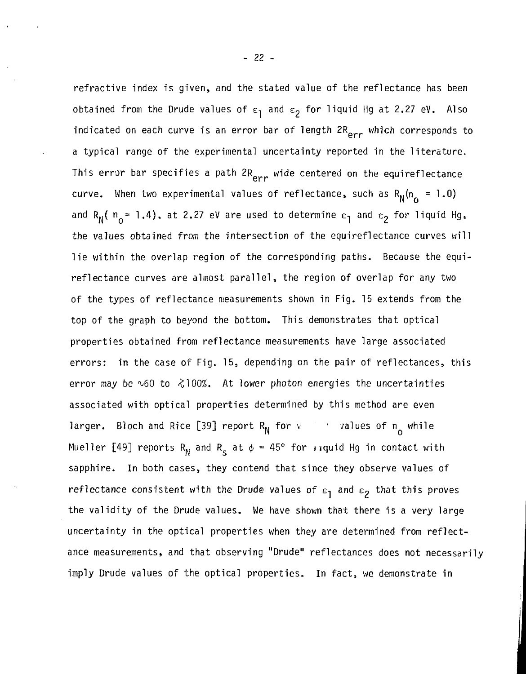refractive index is given, and the stated value of the reflectance has been obtained from the Drude values of  $\varepsilon_1$  and  $\varepsilon_2$  for liquid Hg at 2.27 eV. Also indicated on each curve is an error bar of length  $2R_{\text{err}}$  which corresponds to a typical range of the experimental uncertainty reported in the literature. This error bar specifies a path  $2R_{\text{err}}$  wide centered on the equireflectance curve. When two experimental values of reflectance, such as  $R_N(n_0 = 1.0)$ and R<sub>N</sub>(  $n_a$  = 1.4), at 2.27 eV are used to determine  $\varepsilon_1$  and  $\varepsilon_2$  for liquid Hg, the values obtained from the intersection of the equireflectance curves will lie within the overlap region of the corresponding paths. Because the equireflectance curves are almost parallel, the region of overlap for any two of the types of reflectance measurements shown in Fig. 15 extends from the top of the graph to beyond the bottom. This demonstrates that optical properties obtained from reflectance measurements have large associated errors: in the case of Fig. 15, depending on the pair of reflectances, this error may be  $\sqrt{60}$  to  $\sqrt{2100\%}$ . At lower photon energies the uncertainties associated with optical properties determined by this method are even larger. Bloch and Rice [39] report  $R_N$  for v in values of n while Mueller [49] reports R<sub>N</sub> and R<sub>S</sub> at  $\phi = 45^{\circ}$  for liquid Hg in contact with sapphire. In both cases, they contend that since they observe values of reflectance consistent with the Drude values of  $\varepsilon_1$  and  $\varepsilon_2$  that this proves the validity of the Drude values. We have shown that there is a very large uncertainty in the optical properties when they are determined from reflectance measurements, and that observing "Drude" reflectances does not necessarily imply Drude values of the optical properties. In fact, we demonstrate in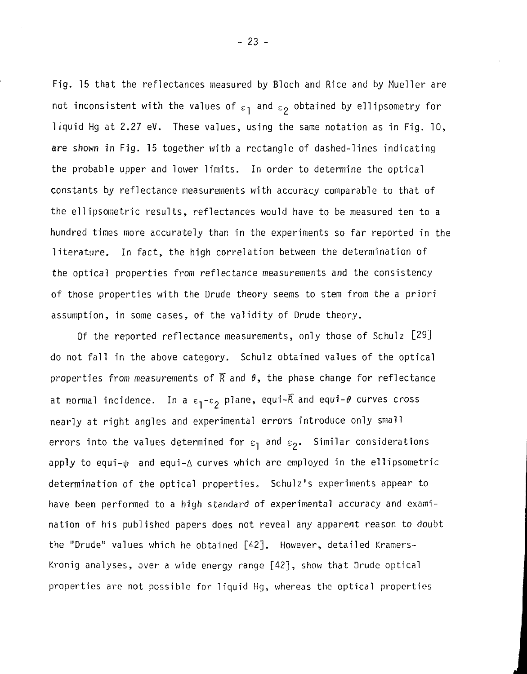Fig. 15 that the reflectances measured by Bloch and Rice and by Mueller are not inconsistent with the values of  $\varepsilon_1$  and  $\varepsilon_2$  obtained by ellipsometry for liquid Hg at 2.27 eV. These values, using the same notation as in Fig. 10, are shown in Fig. 15 together with a rectangle of dashed-lines indicating the probable upper and lower limits. In order to determine the optical constants by reflectance measurements with accuracy comparable to that of the ellipsometric results, reflectances would have to be measured ten to a hundred times more accurately than in the experiments so far reported in the literature. In fact, the high correlation between the determination of the optical properties from reflectance measurements and the consistency of those properties with the Drude theory seems to stem from the a priori assumption, in some cases, of the validity of Drude theory.

Of the reported reflectance measurements, only those of Schulz [29] do not fall in the above category. Schulz obtained values of the optical properties from measurements of  $\overline{R}$  and  $\theta$ , the phase change for reflectance at normal incidence. In a  $\varepsilon_1-\varepsilon_2$  plane, equi- $\overline{R}$  and equi- $\theta$  curves cross nearly at right angles and experimental errors introduce only small errors into the values determined for  $\varepsilon_1$  and  $\varepsilon_2$ . Similar considerations apply to equi- $\psi$  and equi- $\Delta$  curves which are employed in the ellipsometric determination of the optical properties. Schulz's experiments appear to have been performed to a high standard of experimental accuracy and examination of his published papers does not reveal any apparent reason to doubt the "Drude" values which he obtained [42]. However, detailed Kramers-Kronig analyses, over a wide energy range  $[42]$ , show that Drude optical properties are not possible for liquid Hg, whereas the optical properties

- 23 -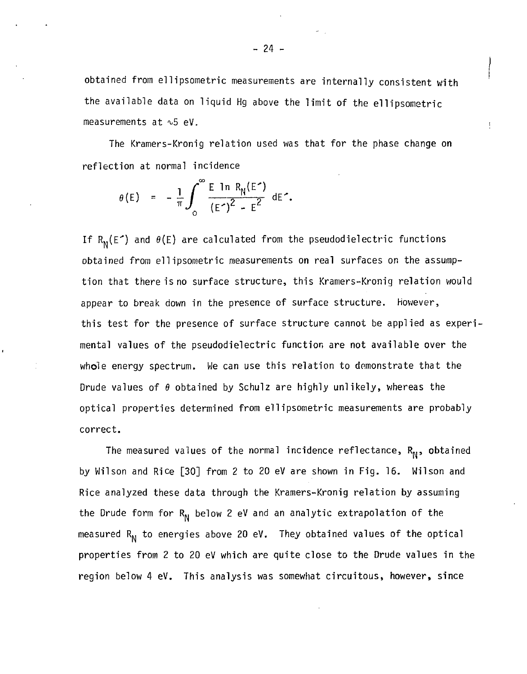obtained from ellipsometric measurements are internally consistent with the available data on liquid Hg above the limit of the ellipsometric measurements at ^5 eV.

ŧ

The Kramers-Kronig relation used was that for the phase change on reflection at normal incidence

$$
\theta(E) = -\frac{1}{\pi} \int_0^\infty \frac{E \ln R_N(E^*)}{(E^*)^2 - E^2} dE^*.
$$

If  $R_N(E^*)$  and  $\theta(E)$  are calculated from the pseudodielectric functions obtained from ellipsometric measurements on real surfaces on the assumption that there is no surface structure, this Kramers-Kronig relation would appear to break down in the presence of surface structure. However, this test for the presence of surface structure cannot be applied as experimental values of the pseudodielectric function are not available over the whole energy spectrum. We can use this relation to demonstrate that the Drude values of  $\theta$  obtained by Schulz are highly unlikely, whereas the optical properties determined from ellipsometric measurements are probably correct.

The measured values of the normal incidence reflectance,  $R_M$ , obtained by Wilson and Rice [30] from 2 to 20 eV are shown in Fig. 16. Wilson and Rice analyzed these data through the Kramers-Kronig relation by assuming the Drude form for  $R_N$  below 2 eV and an analytic extrapolation of the measured  $R_N$  to energies above 20 eV. They obtained values of the optical properties from 2 to 20 eV which are quite close to the Drude values in the region below 4 eV. This analysis was somewhat circuitous, however, since

 $- 24 -$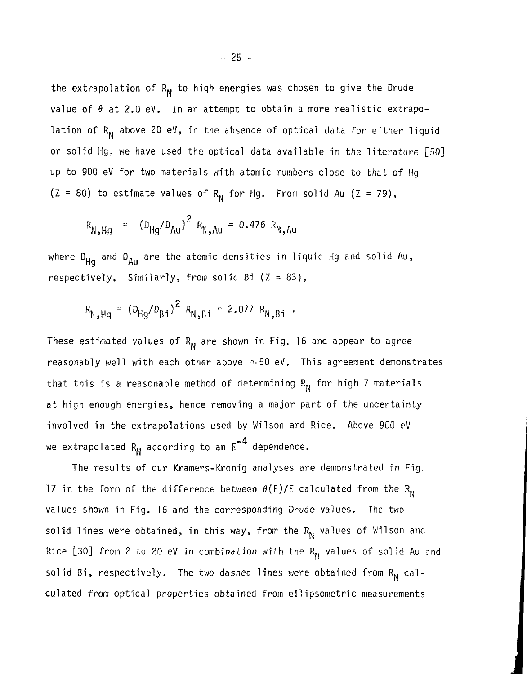the extrapolation of  $R_N$  to high energies was chosen to give the Drude value of  $\theta$  at 2.0 eV. In an attempt to obtain a more realistic extrapolation of  $R_{\rm N}$  above 20 eV, in the absence of optical data for either liquid or solid Hg, we have used the optical data available in the literature [50] up to 900 eV for two materials with atomic numbers close to that of Hg  $(Z = 80)$  to estimate values of R<sub>N</sub> for Hg. From solid Au  $(Z = 79)$ ,

$$
R_{N,Hg} = (D_{Hg}/D_{Au})^2 R_{N,Au} = 0.476 R_{N,Au}
$$

where  $D_{Hg}$  and  $D_{Au}$  are the atomic densities in liquid Hg and solid Au, respectively. Similarly, from solid Bi  $(Z = 83)$ ,

$$
R_{N,Hg} = (D_{Hg}/D_{Bi})^2 R_{N,Bi} = 2.077 R_{N,Bi}
$$
.

These estimated values of  $R_N$  are shown in Fig. 16 and appear to agree reasonably well with each other above  $\sim$  50 eV. This agreement demonstrates that this is a reasonable method of determining  $R_N$  for high Z materials at high enough energies, hence removing a major part of the uncertainty involved in the extrapolations used by Wilson and Rice. Above 900 eV we extrapolated  $\mathtt{R_{N}}$  according to an  $\mathtt{E}^{-4}$  dependence.

The results of our Kramers-Kronig analyses are demonstrated in Fig, 17 in the form of the difference between  $\theta(E)/E$  calculated from the R<sub>N</sub> values shown in Fig. 16 and the corresponding Drude values. The two solid lines were obtained, in this way, from the  $R_N$  values of Wilson and Rice [30] from 2 to 20 eV in combination with the  $R_{\text{N}}$  values of solid Au and solid Bi, respectively. The two dashed lines were obtained from  $R_M$  calculated from optical properties obtained from ellipsometric measurements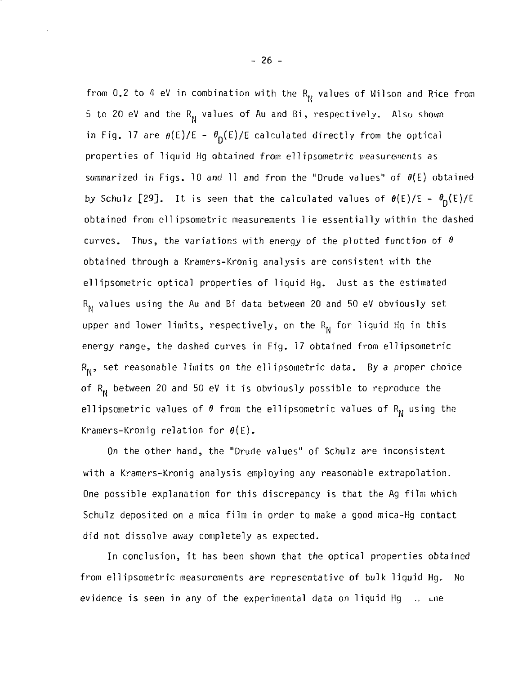from 0.2 to 4 eV in combination with the  $R_{\rm N}$  values of Wilson and Rice from 5 to 20 eV and the R<sub>N</sub> values of Au and Bi, respectively. Also shown in Fig. 17 are  $\theta(E)/E - \theta_0(E)/E$  calculated directly from the optical properties of liquid Hg obtained from ellipsometric measurements as summarized in Figs. 10 and 11 and from the "Drude values" of  $\theta(E)$  obtained by Schulz [29]. It is seen that the calculated values of  $\theta(E)/E - \theta_D(E)/E$ obtained from eilipsometric measurements lie essentially within the dashed curves. Thus, the variations with energy of the plotted function of  $\theta$ obtained through a Krarners-Kronig analysis are consistent with the ellipsometric optical properties of liquid Hg. Just as the estimated  $R_N$  values using the Au and Bi data between 20 and 50 eV obviously set. upper and lower limits, respectively, on the  $R_N$  for liquid Hg in this energy range, the dashed curves in Fig. 17 obtained from ellipsometric  $R_N$ , set reasonable limits on the ellipsometric data. By a proper choice of  $R_N$  between 20 and 50 eV it is obviously possible to reproduce the ellipsometric values of  $\theta$  from the ellipsometric values of R<sub>N</sub> using the Kramers-Kronig relation for  $\theta(E)$ .

On the other hand, the "Drude values" of Schulz are inconsistent with a Kramers-Kronig analysis employing any reasonable extrapolation. One possible explanation for this discrepancy is that the Ag film which Schulz deposited on a mica film in order to make a good mica-Hg contact did not dissolve away completely as expected.

In conclusion, it has been shown that the optical properties obtained from ellipsometric measurements are representative of bulk liquid Hg. No evidence is seen in any of the experimental data on liquid  $Hg$ ,  $\ldots$  one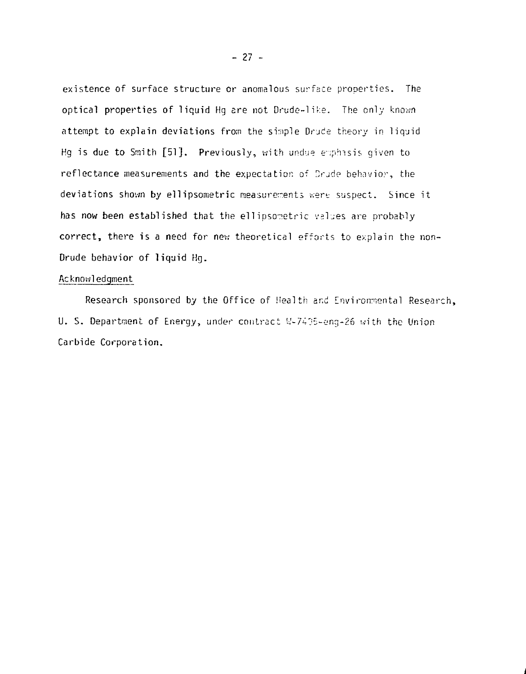existence of surface structure or anomalous surface properties. The optical properties of liquid Hg ere not Drude-like. The only known attempt to explain deviations from the simple Drude theory in liquid Hg is due to Smith  $[51]$ , Previously, with undue emphasis given to reflectance measurements and the expectation of Srude behavior, the deviations shown by ellipsometric measurements were suspect. Since it has now been established that the ellipsometric values are probably correct, there is a need for new theoretical efforts to explain the non-Drude behavior of liquid Hg.

#### Acknowledgment

Research sponsored by the Office of Health and Environmental Research, U. S. Department of Energy, under contract W-7405-eng-26 with the Union Carbide Corporation.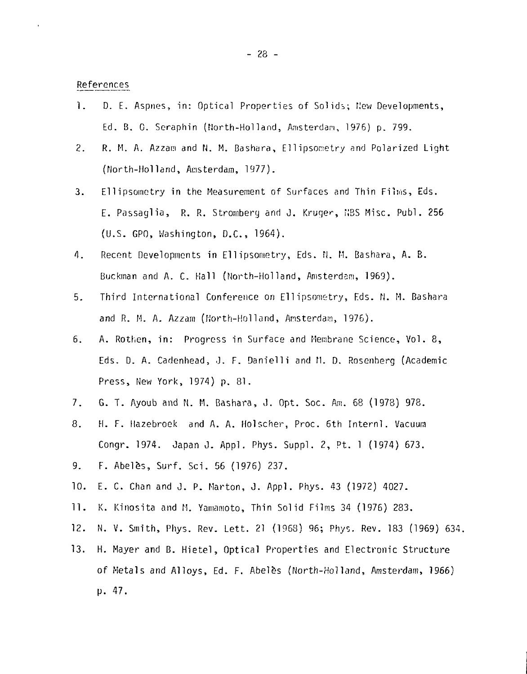References

- 1. D. E. Aspnes, in: Optical Properties of Solids; New Developments, Ed. B. C. Seraphin (North-Holland, Amsterdam, 1976) p. 799.
- 2. R. M. A. Azzam and N. M. Bashara, Ellipsometry and Polarized Light (North-Holland, Amsterdam, 1977).
- 3. Ellipsometry in the Measurement of Surfaces and Thin Films, Eds. E. Passaglia, R. R. Stromberg and J. Kruqer, "iBS Misc. Publ. 256 (U.S. GPO, Washington, D.C., 1964).
- 4. Recent Developments in El 1ipsometry, Eds. N. M. Bashara, A. B. Buckman and A. C. Hall (North-Holland, Amsterdam, 1969).
- 5. Third International Conference on Ellipsometry, Eds. N. M. Bashara and R. M. A. Azzam (North-Holland, Amsterdam, 1976).
- 6. A. Rothen, in: Progress in Surface and Membrane Science, Vol. 8, Eds. D. A. Cadenhead, J. F. Danielli and M. D. Rosenherg (Academic Press, New York, 1974) p. 81.
- 7. G. T. Ayoub and N. M. Bashara, J. Opt. Soc. Am. 68 (1978) 978.
- 8. H. F. Hazebroek and A. A. Holscher, Proc. 6th Internl. Vacuum Congr. 1974. Japan J. Appl. Phys. Suppl. 2, Pt. 1 (1974) 673.
- 9. F. Abeles, Surf. Sci. 56 (1976) 237.
- 10. E. C. Chan and J. P. Marton, J. Appl. Phys. 43 (1972) 4027.
- 11. K. Kinosita and M. Yamamoto, Thin Solid Films 34 (1976) 283.
- 12. N. V. Smith, Phys. Rev. Lett. 21 (1968) 96; Phys. Rev. 183 (1969) 634.
- 13. H. Mayer and B. Hietel, Optical Properties and Electronic Structure of Metals and Alloys, Ed. F. Abeles (North-Holland, Amsterdam, 1966) p. 47.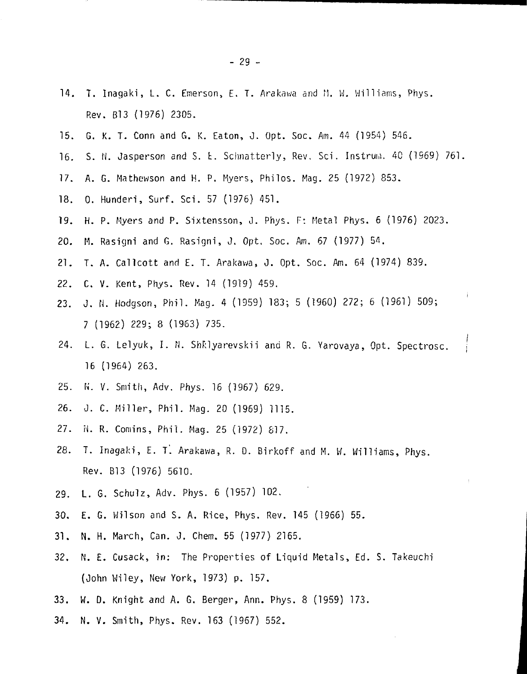- 14. T. Inagaki, L. C. Emerson, E. T. Arakawa and M. W. Williams, Phys. Rev. B13 (1976) 2305.
- 15. G. K. T. Conn and G. K. Eaton, J. Opt. Soc. Am. 44 (1954) 546.
- 16. S. N. Jasperson and 5. t. Schnatterly, Rev. Sci. Instrum. 40 (1969) 761.
- 17. A. G. Mathewson and H. P. Myers, Philos. Mag. 25 (1972) 853.
- 18. 0. Hunderi, Surf. Sci. 57 (1976) 451.
- 19. H. P. Myers and P. Sixtensson, J. Phys. F: Metal Phys. 6 (1976) 2023.
- 20. M. Rasigni and G. Rasigni, J. Opt. Soc. Am. 67 (1977) 54.
- 21. T. A. Callcott and E. T. Arakawa, J. Opt. Soc. Am. 64 (1974) 839.
- 22. C. V. Kent, Phys. Rev. 14 (1919) 459.
- 23. J. N. Hodgson, Phil. Mag. 4 (1959) 183; 5 (1960) 272; 6 (1961) 509; 7 (1962) 229; 8 (1963) 735.
- 24. L. G. Lelyuk, I. N. ShRlyarevskii and R. G. Yarovaya, Opt. Spectrosc. 16 (1964) 263.
- 25. N. V. Smith, Adv. Phys. 16 (1967) 629.
- 26. J. C. Miller, Phil. Mag. 20 (1969) 1115.
- 27. N. R. Comins, Phil. Mag. 25 (1972) 817.
- 28. T. Inagaki, E. T. Arakawa, R. D. Birkoff and M. W. Williams, Phys. Rev. B13 (1976) 5610.
- 29. L. G. Schulz, Adv. Phys. 6 (1957) 102.
- 30. E. G. Wilson and S. A. Rice, Phys. Rev. 145 (1966) 55.
- 31. N. H. March, Can. J. Chem. 55 (1977) 2165.
- 32. N. E. Cusack, in: The Properties of Liquid Metals, Ed. S. Takeuchi (John Wiley, New York, 1973) p. 157.
- 33. W. D. Knight and A. G. Berger, Ann. Phys. 8 (1959) 173.
- 34. N. V. Smith, Phys. Rev. 163 (1967) 552.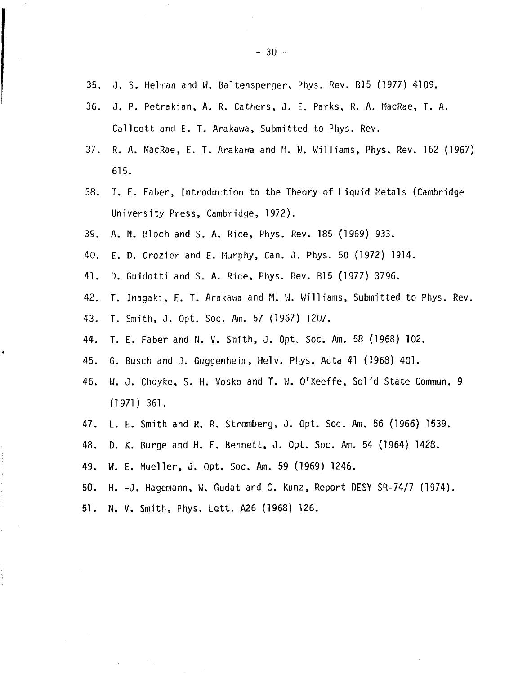- 35. J. S. Helman and W. Baltensperger, Phys. Rev. B15 (1977) 4109.
- 36. J. P. Petrakian, A. R. Cathers, J. E. Parks, R. A. MacRae, T. A. Callcott and E. T. Arakawa, Submitted to Phys. Rev.
- 37. R. A. MacRae, E. T. Arakawa and H. W. Williams, Phys. Rev. 162 (1967) 615.
- 38. T. E. Faber, Introduction to the Theory of Liquid Metals (Cambridge University Press, Cambridge, 1972).
- 39. A. N. Bloch and S. A. Rice, Phys. Rev. 185 (1969) 933.
- 40. E. D. Crozier and E. Murphy, Can. J. Phys. 50 (1972) 1914.
- 41. D. Guidotti and S. A. Rice, Phys. Rev. B15 (1977) 3796.
- 42. T. Inagaki, E. T. Arakawa and M. W. Williams, Submitted to Phys. Rev.
- 43. T. Smith, J. Opt. Soc. Am. 57 (1957) 1207.
- 44. T. E. Faber and N. V. Smith, J. Opt. Soc. Am. 58 (1968) 102.
- 45. G. Busch and J. Guggenheim, Helv. Phys. Acta 41 (1968) 401.
- 46. W. J. Choyke, S. H. Vosko and T. W. 0'Keeffe, Solid State Commun. 9 (1971) 361.
- 47. L. E. Smith and R. R. Stromberg, J. Opt. Soc. Am. 56 (1966) 1539.
- 48. D. K. Burge and H. E. Bennett, J. Opt. Soc. Am. 54 (1964) 1428.

49. W. E. Mueller, J. Opt. Soc. Am. 59 (1969) 1246.

50. H. -J. Hagemann, W. Rudat and C. Kunz, Report DESY SR-74/7 (1974).

51. N. V. Smith, Phys. Lett. A26 (1968) 126.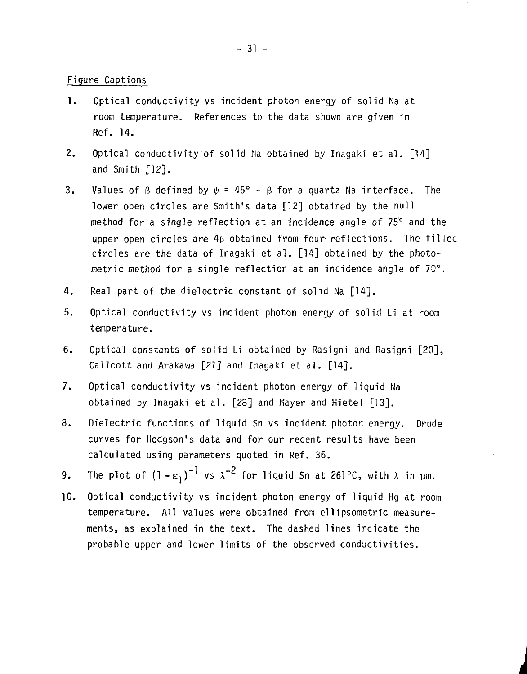Figure Captions

- 1. Optical conductivity vs incident photon energy of solid Ma at room temperature. References to the data shown are given in Ref. 14.
- 2. Optical conductivity of solid Na obtained by Inagaki et al. [14] and Smith [12].
- 3. Values of  $\beta$  defined by  $\psi = 45^{\circ} \beta$  for a quartz-Na interface. The lower open circles are Smith's data [12] obtained by the null method for a single reflection at an incidence angle of 75° and the upper open circles are  $4\beta$  obtained from four reflections. The filled circles are the data of Inagaki et al. [14] obtained by the photometric method for a single reflection at an incidence angle of 70°.
- 4. Real part of the dielectric constant of solid Na [14],
- 5. Optical conductivity vs incident photon energy of solid Li at room temperature.
- 6. Optical constants of solid Li obtained by Rasigni and Rasigni [20], Callcott and Arakawa [21] and Inagaki et al. [14].
- 7. Optical conductivity vs incident photon energy of liquid Na obtained by Inagaki et al. [28] and Mayer and Hietel [13].
- 8. Dielectric functions of liquid Sn vs incident photon energy. Drude curves for Hodgson's data and for our recent results have been calculated using parameters quoted in Ref. 36.
- 9. The plot of  $(1 \epsilon_1)^{-1}$  vs  $\lambda^{-2}$  for liquid Sn at 261°C, with  $\lambda$  in  $\mu$ m.
- 10. Optical conductivity vs incident photon energy of liquid Hg at room temperature. All values were obtained from ellipsometric measurements, as explained in the text. The dashed lines indicate the probable upper and lower limits of the observed conductivities.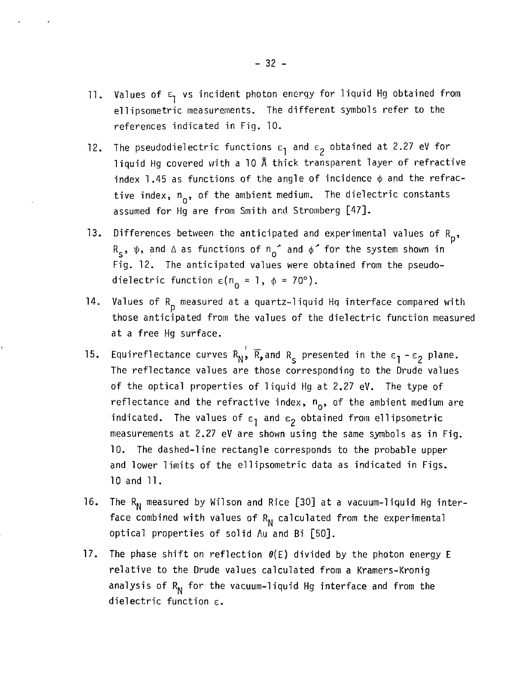- 11. Values of  $\varepsilon_1$  vs incident photon energy for liquid Hg obtained from ellipsometric measurements. The different symbols refer to the references indicated in Fig. 10.
- 12. The pseudodielectric functions  $\varepsilon_1$  and  $\varepsilon_2$  obtained at 2.27 eV for liquid Hg covered with a 10  $\AA$  thick transparent layer of refractive index 1.45 as functions of the angle of incidence  $\phi$  and the refractive index,  $n_{0}$ , of the ambient medium. The dielectric constants assumed for Hg are from Smith and Stromberg [47].
- 13. Differences between the anticipated and experimental values of  $R_n$ ,  $R_s$ ,  $\psi$ , and  $\Delta$  as functions of  $n_0$  and  $\phi$  for the system shown in Fig. 12. The anticipated values were obtained from the pseudodielectric function  $\varepsilon(n_0 = 1, \phi = 70^{\circ}).$
- 14. Values of R<sub>D</sub> measured at a quartz-liquid Hq interface compared with those anticipated from the values of the dielectric function measured at a free Hg surface.
- i  $\frac{1}{2}$ . Equives R  $\frac{1}{2}$ ,  $\frac{1}{2}$  presented in the e-,  $\frac{1}{2}$  presented in the e-,  $\frac{1}{2}$ The reflectance values are those corresponding to the Drude values<br>of the optical properties of liquid Hg at 2.27 eV. The type of of the optical properties of liquid Hg at 2.27 eV. The type of reflectance and the reflective index,  $0<sup>2</sup>$  of the ambient medium are indicated. The values of  $\varepsilon_1$  and  $\varepsilon_2$  obtained from ellipsometric measurements at 2.27 eV are shown using the same symbols as in Fig. 10. The dashed-line rectangle corresponds to the probable upper and lower limits of the ellipsometric data as indicated in Figs.<br>10 and 11. 10 and 11.
- 16. The  $R_N$  measured by Wilson and Rice [30] at a vacuum-liquid Hg interface combined with values of  $R_{\rm N}$  calculated from the experimental optical properties of solid  $\Lambda$ u and Bi  $[50]$ .
- 17. The phase shift on reflection  $\theta(E)$  divided by the photon energy E relative to the Drude values calculated from a Kramers-Kronig analysis of  $R_N$  for the vacuum-liquid Hg interface and from the dielectric function  $\varepsilon$ .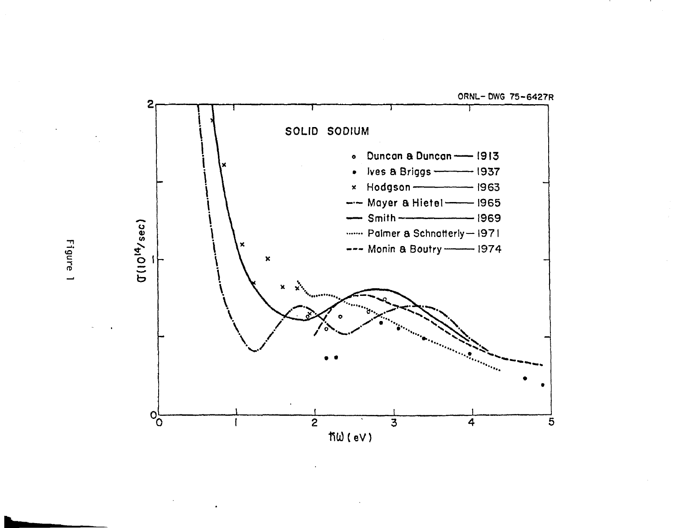

Figure 1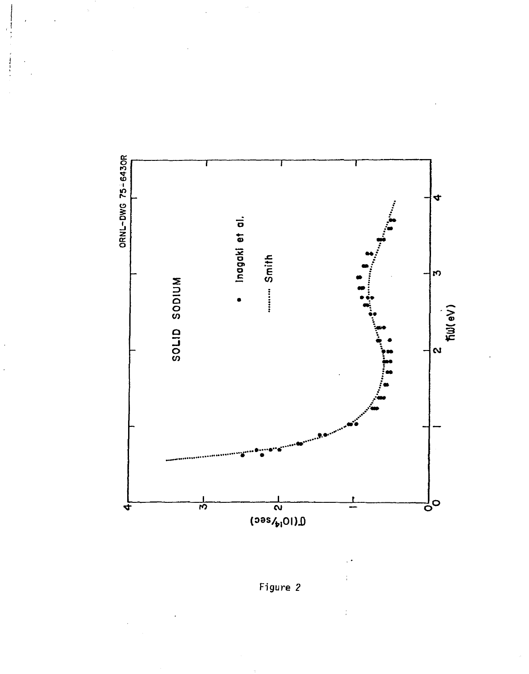

Figure 2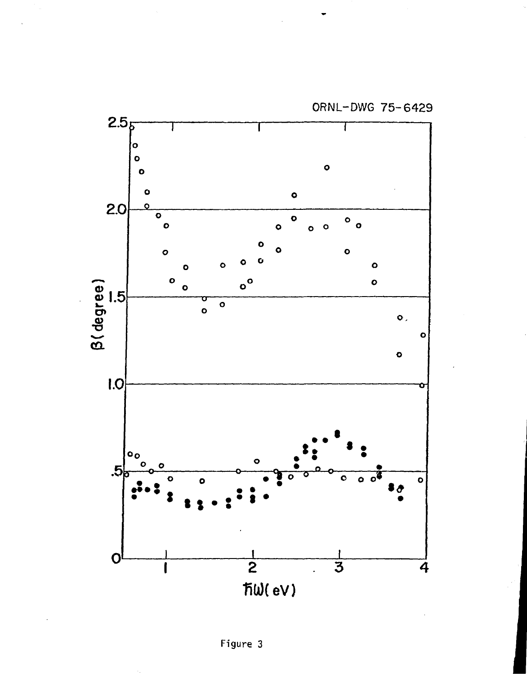

ORNL-DWG 75-6429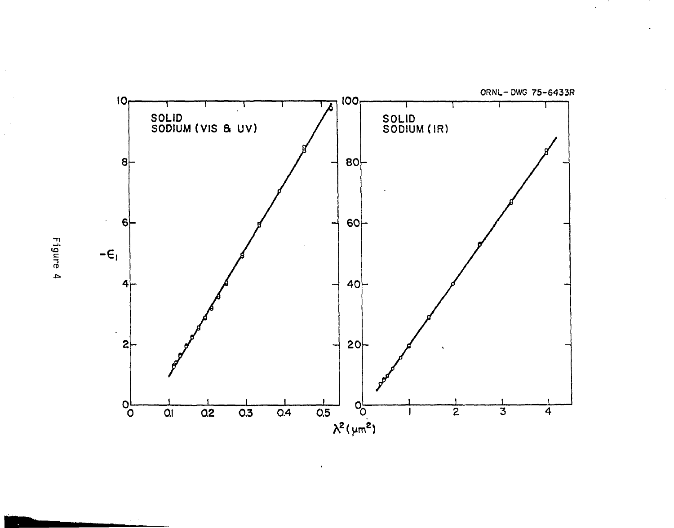

. .  $\mathcal{L}_{\mathcal{L}}$ 

Figure 4

 $\mathcal{L}$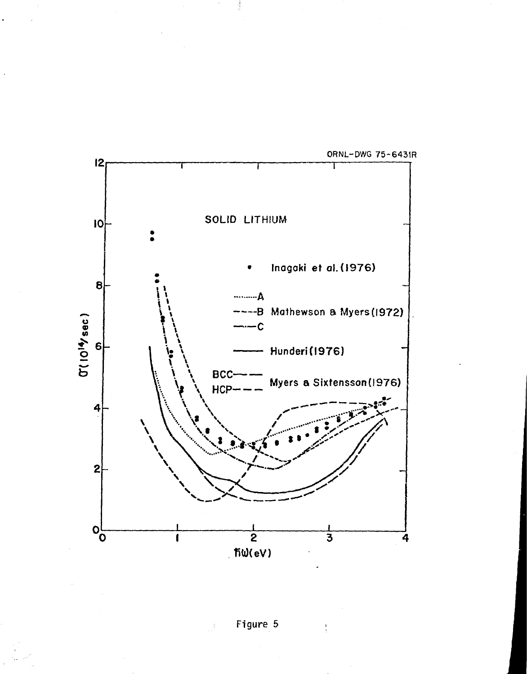

Figure 5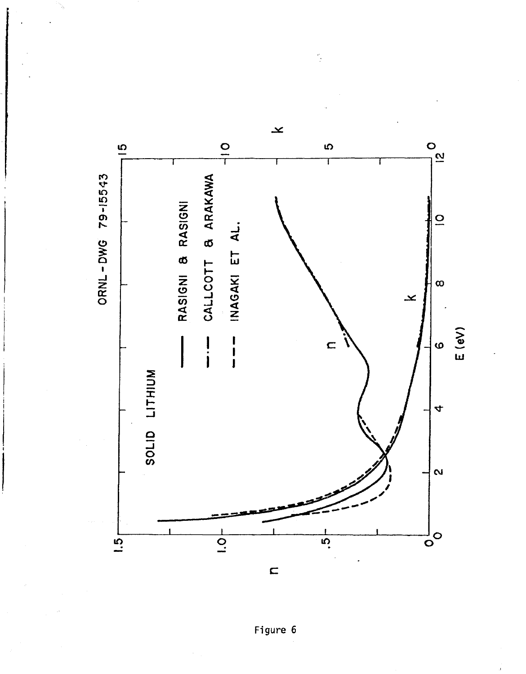

 $\frac{1}{2}$ 

Figure 6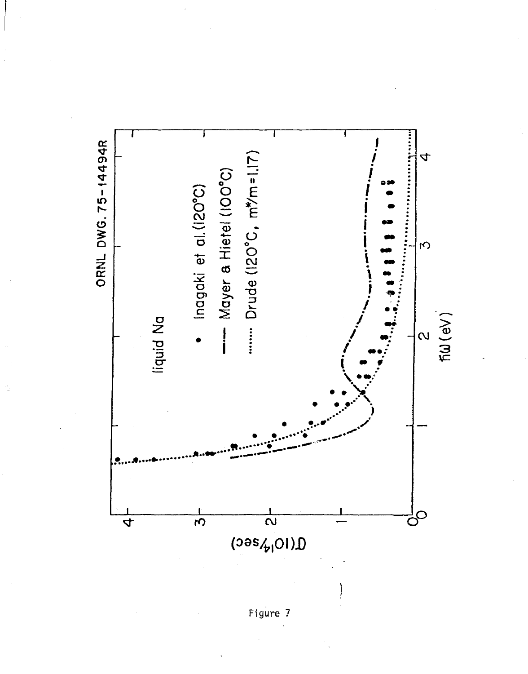

Figure 7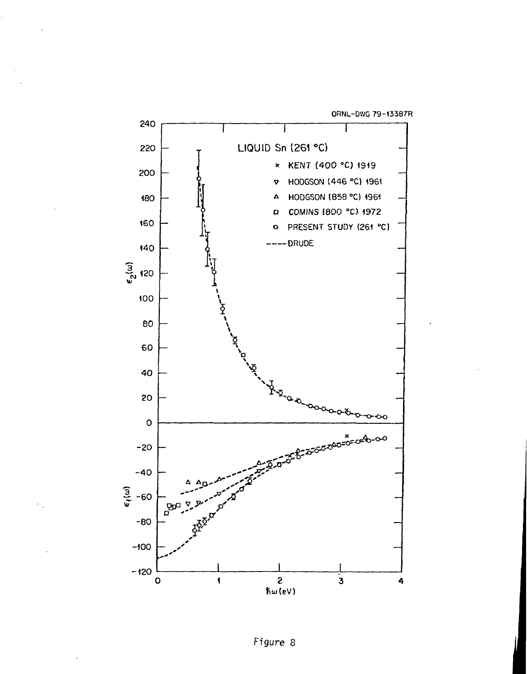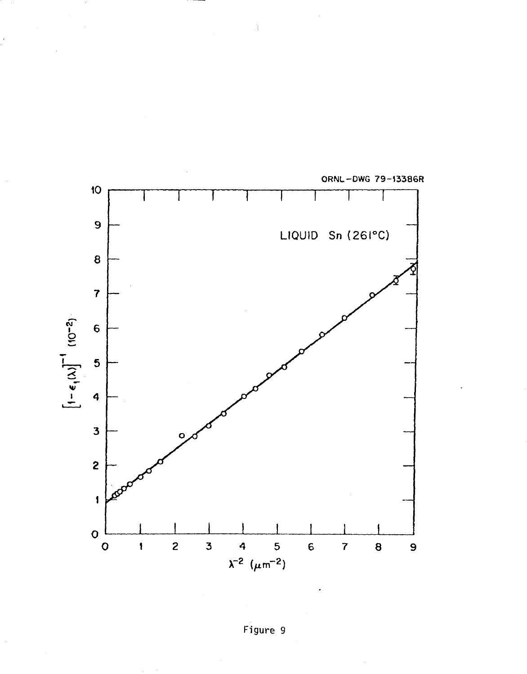

 $\hat{A}$ 

ORNL-DWG 79-13386R

Figure 9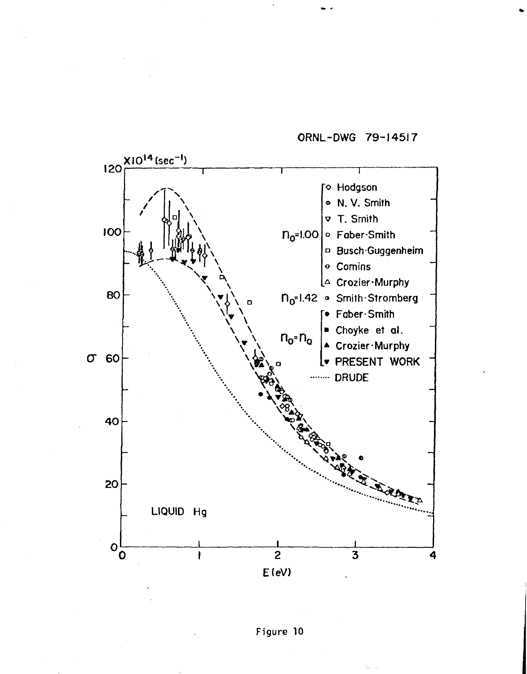ORNL-DWG 79-14517



Figure 10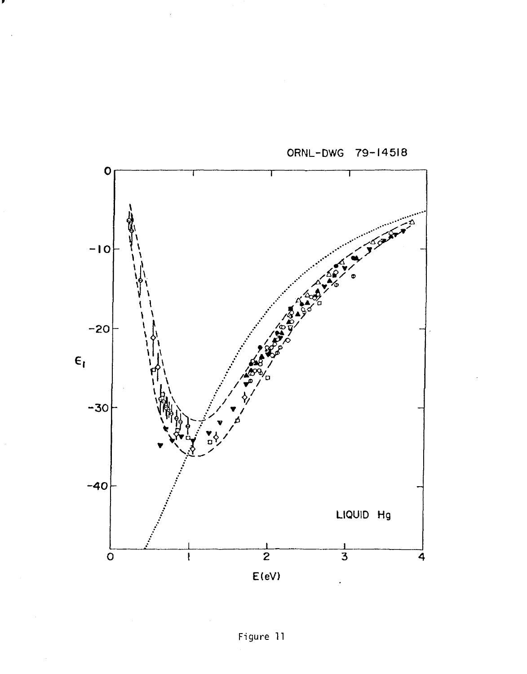

ORNL-DWG 79-14518

Figure 11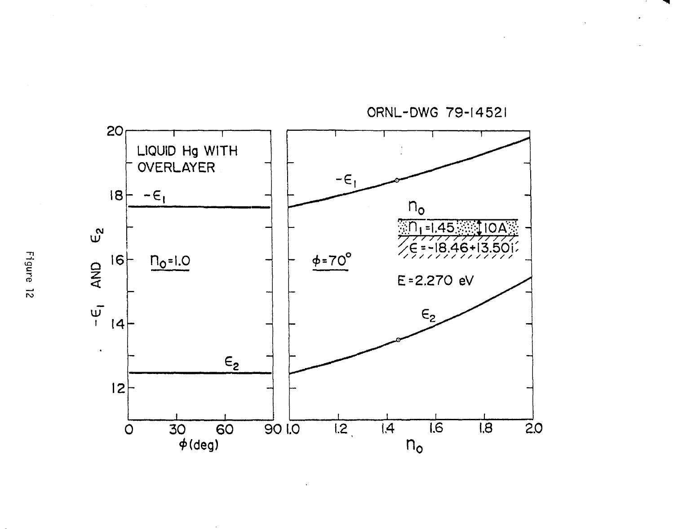

Figure 12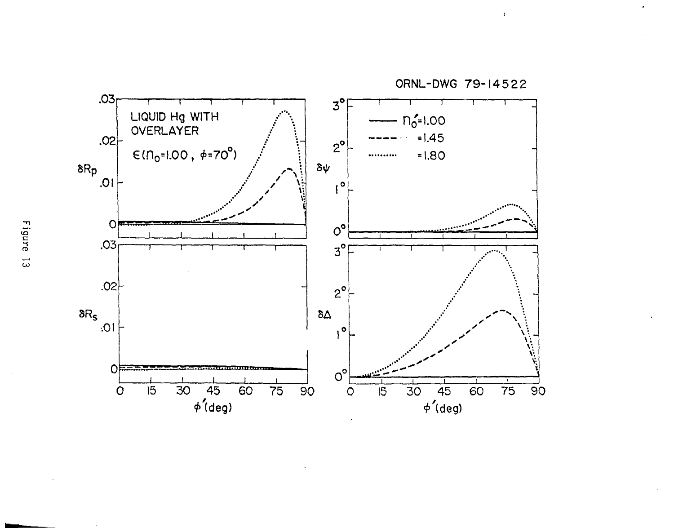ORNL-DWG 79-14522

 $\bar{\tau}$ 

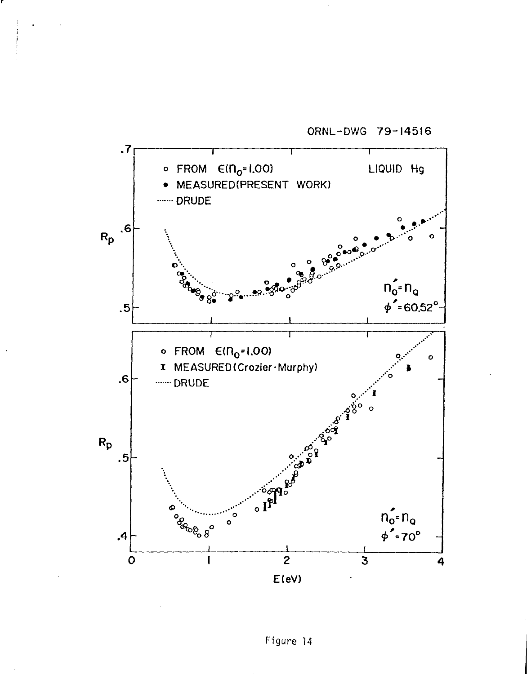



Figure 14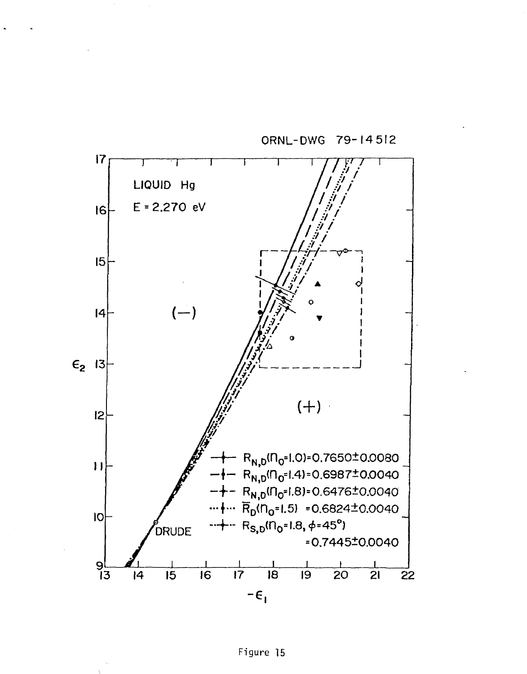

ORNL-DWG 79-14 512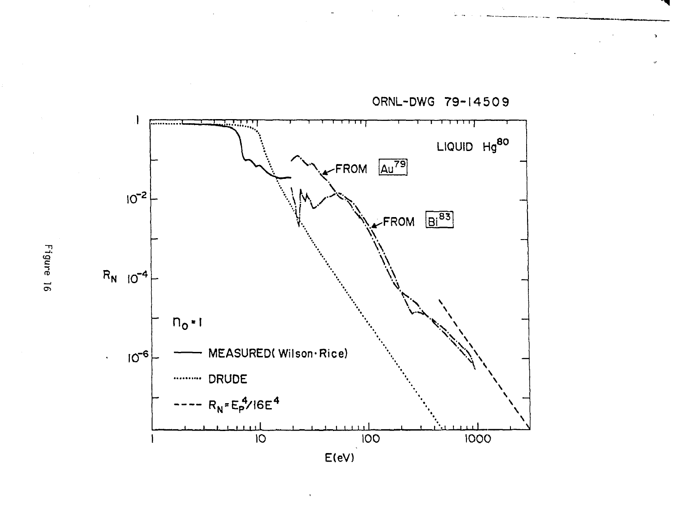

ORNL-DWG 79-14509